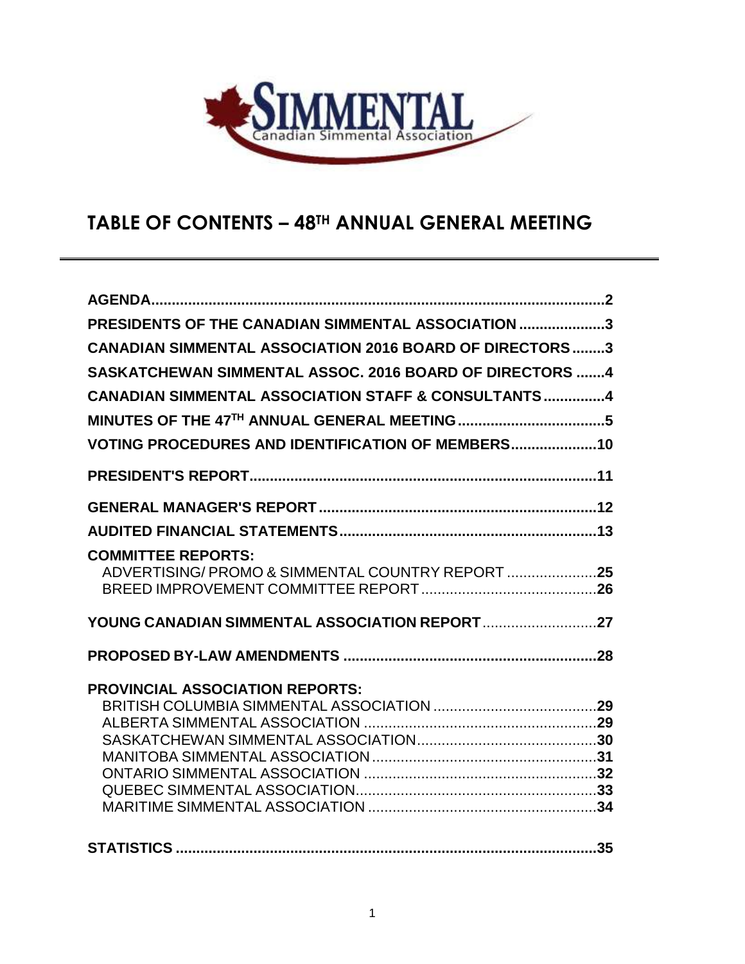

# **TABLE OF CONTENTS – 48TH ANNUAL GENERAL MEETING**

| PRESIDENTS OF THE CANADIAN SIMMENTAL ASSOCIATION 3                           |
|------------------------------------------------------------------------------|
| <b>CANADIAN SIMMENTAL ASSOCIATION 2016 BOARD OF DIRECTORS 3</b>              |
| SASKATCHEWAN SIMMENTAL ASSOC. 2016 BOARD OF DIRECTORS 4                      |
| <b>CANADIAN SIMMENTAL ASSOCIATION STAFF &amp; CONSULTANTS4</b>               |
|                                                                              |
| <b>VOTING PROCEDURES AND IDENTIFICATION OF MEMBERS10</b>                     |
|                                                                              |
|                                                                              |
|                                                                              |
| <b>COMMITTEE REPORTS:</b><br>ADVERTISING/PROMO & SIMMENTAL COUNTRY REPORT 25 |
|                                                                              |
|                                                                              |
| <b>PROVINCIAL ASSOCIATION REPORTS:</b>                                       |
|                                                                              |
|                                                                              |
|                                                                              |
|                                                                              |
|                                                                              |
|                                                                              |
|                                                                              |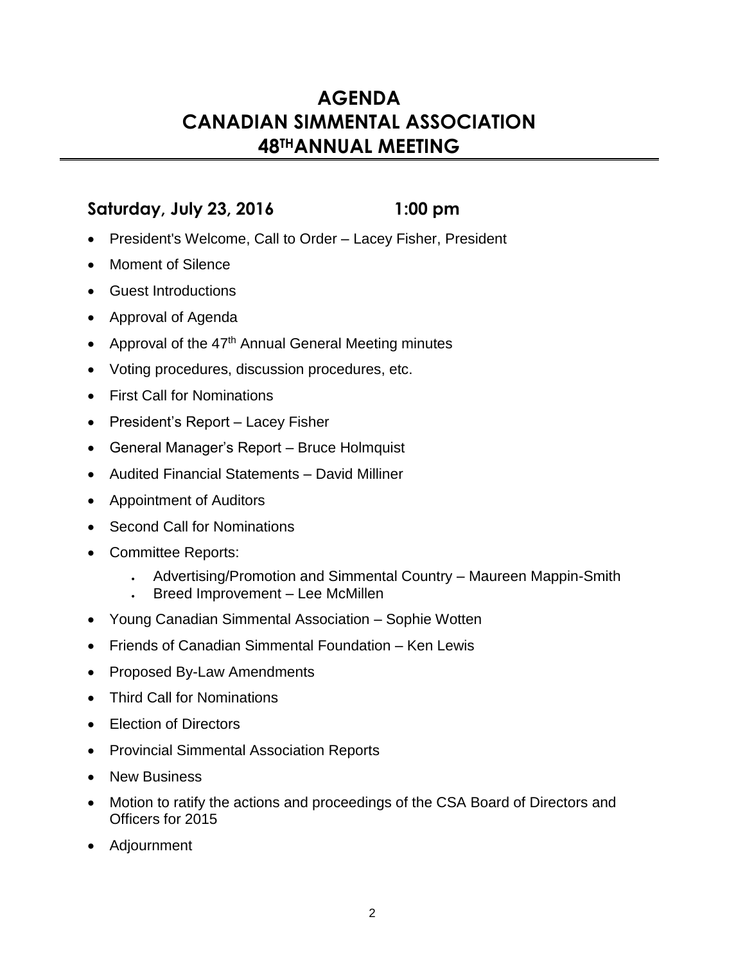# **AGENDA CANADIAN SIMMENTAL ASSOCIATION 48THANNUAL MEETING**

# **Saturday, July 23, 2016 1:00 pm**

- President's Welcome, Call to Order Lacey Fisher, President
- Moment of Silence
- Guest Introductions
- Approval of Agenda
- Approval of the 47<sup>th</sup> Annual General Meeting minutes
- Voting procedures, discussion procedures, etc.
- First Call for Nominations
- President's Report Lacey Fisher
- General Manager's Report Bruce Holmquist
- Audited Financial Statements David Milliner
- Appointment of Auditors
- Second Call for Nominations
- Committee Reports:
	- Advertising/Promotion and Simmental Country Maureen Mappin-Smith
	- Breed Improvement Lee McMillen
- Young Canadian Simmental Association Sophie Wotten
- Friends of Canadian Simmental Foundation Ken Lewis
- Proposed By-Law Amendments
- Third Call for Nominations
- Election of Directors
- Provincial Simmental Association Reports
- New Business
- Motion to ratify the actions and proceedings of the CSA Board of Directors and Officers for 2015
- Adjournment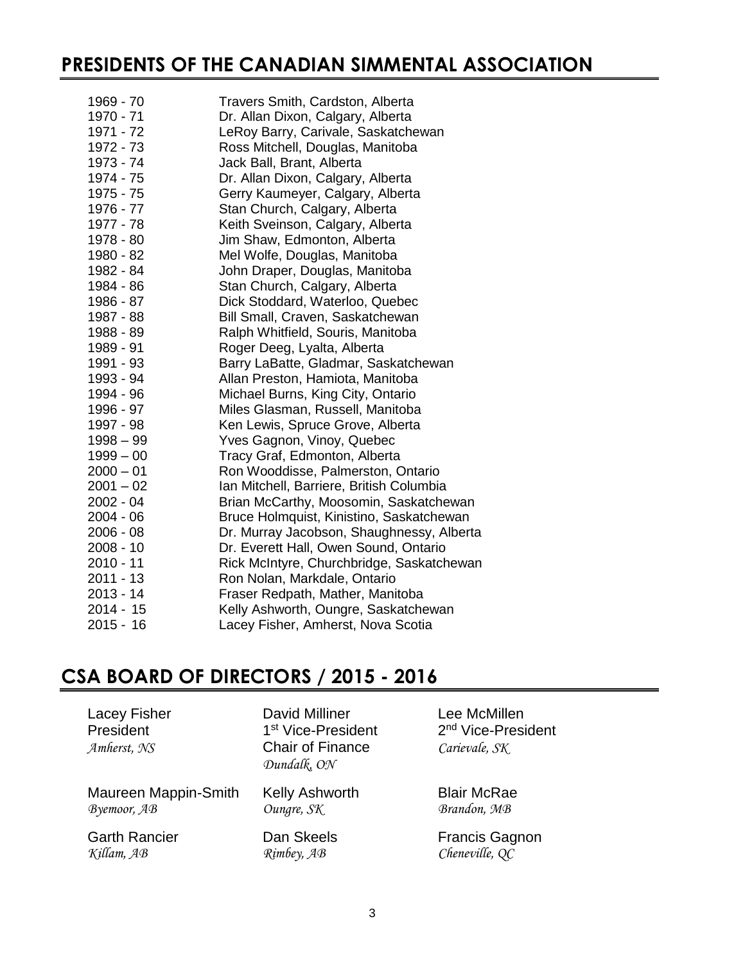# **PRESIDENTS OF THE CANADIAN SIMMENTAL ASSOCIATION**

| 1969 - 70   | Travers Smith, Cardston, Alberta          |
|-------------|-------------------------------------------|
| 1970 - 71   | Dr. Allan Dixon, Calgary, Alberta         |
| 1971 - 72   | LeRoy Barry, Carivale, Saskatchewan       |
| 1972 - 73   | Ross Mitchell, Douglas, Manitoba          |
| 1973 - 74   | Jack Ball, Brant, Alberta                 |
| 1974 - 75   | Dr. Allan Dixon, Calgary, Alberta         |
| 1975 - 75   | Gerry Kaumeyer, Calgary, Alberta          |
| 1976 - 77   | Stan Church, Calgary, Alberta             |
| 1977 - 78   | Keith Sveinson, Calgary, Alberta          |
| 1978 - 80   | Jim Shaw, Edmonton, Alberta               |
| 1980 - 82   | Mel Wolfe, Douglas, Manitoba              |
| 1982 - 84   | John Draper, Douglas, Manitoba            |
| 1984 - 86   | Stan Church, Calgary, Alberta             |
| 1986 - 87   | Dick Stoddard, Waterloo, Quebec           |
| 1987 - 88   | Bill Small, Craven, Saskatchewan          |
| 1988 - 89   | Ralph Whitfield, Souris, Manitoba         |
| 1989 - 91   | Roger Deeg, Lyalta, Alberta               |
| 1991 - 93   | Barry LaBatte, Gladmar, Saskatchewan      |
| 1993 - 94   | Allan Preston, Hamiota, Manitoba          |
| 1994 - 96   | Michael Burns, King City, Ontario         |
| 1996 - 97   | Miles Glasman, Russell, Manitoba          |
| 1997 - 98   | Ken Lewis, Spruce Grove, Alberta          |
| $1998 - 99$ | Yves Gagnon, Vinoy, Quebec                |
| $1999 - 00$ | Tracy Graf, Edmonton, Alberta             |
| $2000 - 01$ | Ron Wooddisse, Palmerston, Ontario        |
| $2001 - 02$ | Ian Mitchell, Barriere, British Columbia  |
| $2002 - 04$ | Brian McCarthy, Moosomin, Saskatchewan    |
| $2004 - 06$ | Bruce Holmquist, Kinistino, Saskatchewan  |
| $2006 - 08$ | Dr. Murray Jacobson, Shaughnessy, Alberta |
| 2008 - 10   | Dr. Everett Hall, Owen Sound, Ontario     |
| 2010 - 11   | Rick McIntyre, Churchbridge, Saskatchewan |
| $2011 - 13$ | Ron Nolan, Markdale, Ontario              |
| $2013 - 14$ | Fraser Redpath, Mather, Manitoba          |
| 2014 - 15   | Kelly Ashworth, Oungre, Saskatchewan      |
| $2015 - 16$ | Lacey Fisher, Amherst, Nova Scotia        |
|             |                                           |

# **CSA BOARD OF DIRECTORS / 2015 - 2016**

| <b>Lacey Fisher</b><br>President<br>Amherst, NS | <b>David Milliner</b><br>1 <sup>st</sup> Vice-President<br><b>Chair of Finance</b><br>Dundalk, ON | Lee McMillen<br>2 <sup>nd</sup> Vice-President<br>Carievale, SK |
|-------------------------------------------------|---------------------------------------------------------------------------------------------------|-----------------------------------------------------------------|
| Maureen Mappin-Smith                            | <b>Kelly Ashworth</b>                                                                             | <b>Blair McRae</b>                                              |
| Byemoor, AB                                     | Oungre, SK                                                                                        | Brandon, MB                                                     |
| <b>Garth Rancier</b>                            | Dan Skeels                                                                                        | <b>Francis Gagnon</b>                                           |
| Killam, AB                                      | $R$ <i>imbey</i> , $AB$                                                                           | Cheneville, QC                                                  |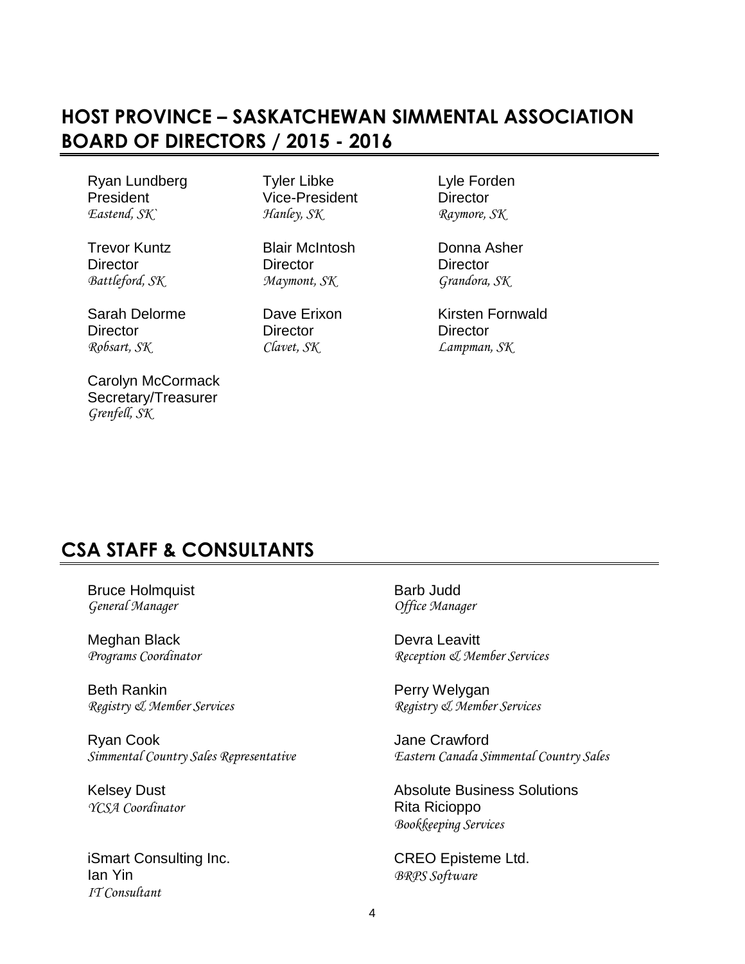# **HOST PROVINCE – SASKATCHEWAN SIMMENTAL ASSOCIATION BOARD OF DIRECTORS / 2015 - 2016**

President Vice-President Director *Eastend, SK` Hanley, SK Raymore, SK*

Ryan Lundberg Tyler Libke Lyle Forden

Director Director Director *Battleford, SK Maymont, SK Grandora, SK*

Director Director Director *Robsart, SK Clavet, SK Lampman, SK*

Carolyn McCormack Secretary/Treasurer *Grenfell, SK*

Trevor Kuntz Blair McIntosh Donna Asher

Sarah Delorme **Dave Erixon** Kirsten Fornwald

# **CSA STAFF & CONSULTANTS**

Bruce Holmquist **Barb Judd Barb Judd** *General Manager Office Manager*

Meghan Black Devra Leavitt<br>  $Programs \textit{Coordinate}$   $P}{Recretion \textit{Q}$ 

Beth Rankin **Perry Welygan** 

Ryan Cook Jane Crawford

*YCSA Coordinator* Rita Ricioppo

iSmart Consulting Inc. **CREO** Episteme Ltd. Ian Yin *BRPS Software IT Consultant*

*Programs Coordinator Reception & Member Services*

*Registry & Member Services Registry & Member Services*

*Simmental Country Sales Representative Eastern Canada Simmental Country Sales*

Kelsey Dust **Absolute Business Solutions** Absolute Business Solutions *Bookkeeping Services*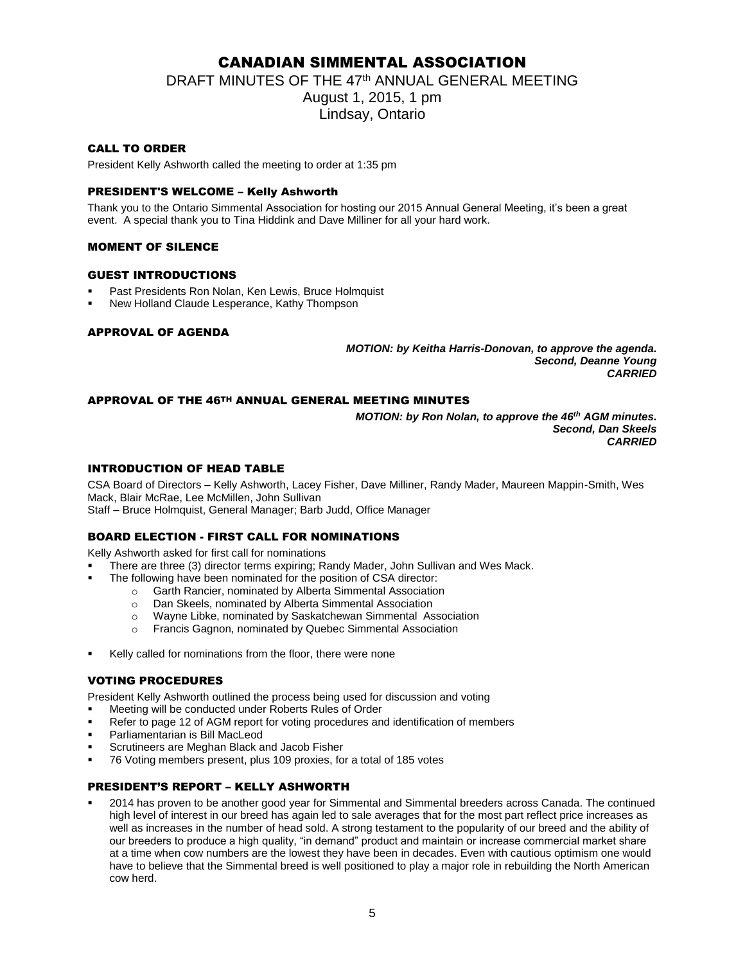# CANADIAN SIMMENTAL ASSOCIATION

DRAFT MINUTES OF THE 47<sup>th</sup> ANNUAL GENERAL MEETING

August 1, 2015, 1 pm Lindsay, Ontario

# CALL TO ORDER

President Kelly Ashworth called the meeting to order at 1:35 pm

# PRESIDENT'S WELCOME – Kelly Ashworth

Thank you to the Ontario Simmental Association for hosting our 2015 Annual General Meeting, it's been a great event. A special thank you to Tina Hiddink and Dave Milliner for all your hard work.

## MOMENT OF SILENCE

### GUEST INTRODUCTIONS

- Past Presidents Ron Nolan, Ken Lewis, Bruce Holmquist
- New Holland Claude Lesperance, Kathy Thompson

### APPROVAL OF AGENDA

*MOTION: by Keitha Harris-Donovan, to approve the agenda. Second, Deanne Young CARRIED*

## APPROVAL OF THE 46TH ANNUAL GENERAL MEETING MINUTES

*MOTION: by Ron Nolan, to approve the 46th AGM minutes. Second, Dan Skeels CARRIED*

# INTRODUCTION OF HEAD TABLE

CSA Board of Directors – Kelly Ashworth, Lacey Fisher, Dave Milliner, Randy Mader, Maureen Mappin-Smith, Wes Mack, Blair McRae, Lee McMillen, John Sullivan Staff – Bruce Holmquist, General Manager; Barb Judd, Office Manager

### BOARD ELECTION - FIRST CALL FOR NOMINATIONS

Kelly Ashworth asked for first call for nominations

- There are three (3) director terms expiring; Randy Mader, John Sullivan and Wes Mack.
- The following have been nominated for the position of CSA director:
	- o Garth Rancier, nominated by Alberta Simmental Association
	- o Dan Skeels, nominated by Alberta Simmental Association
	- o Wayne Libke, nominated by Saskatchewan Simmental Association
	- o Francis Gagnon, nominated by Quebec Simmental Association
- Kelly called for nominations from the floor, there were none

### VOTING PROCEDURES

President Kelly Ashworth outlined the process being used for discussion and voting

- Meeting will be conducted under Roberts Rules of Order
- Refer to page 12 of AGM report for voting procedures and identification of members
- Parliamentarian is Bill MacLeod
- Scrutineers are Meghan Black and Jacob Fisher
- 76 Voting members present, plus 109 proxies, for a total of 185 votes

# PRESIDENT'S REPORT – KELLY ASHWORTH

 2014 has proven to be another good year for Simmental and Simmental breeders across Canada. The continued high level of interest in our breed has again led to sale averages that for the most part reflect price increases as well as increases in the number of head sold. A strong testament to the popularity of our breed and the ability of our breeders to produce a high quality, "in demand" product and maintain or increase commercial market share at a time when cow numbers are the lowest they have been in decades. Even with cautious optimism one would have to believe that the Simmental breed is well positioned to play a major role in rebuilding the North American cow herd.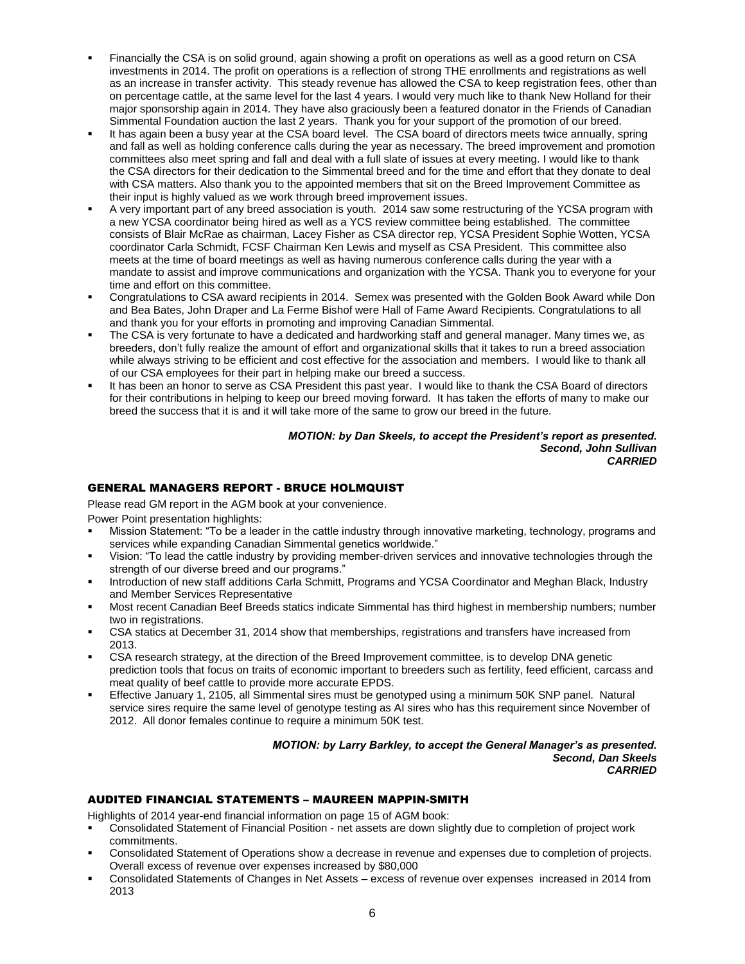- Financially the CSA is on solid ground, again showing a profit on operations as well as a good return on CSA investments in 2014. The profit on operations is a reflection of strong THE enrollments and registrations as well as an increase in transfer activity. This steady revenue has allowed the CSA to keep registration fees, other than on percentage cattle, at the same level for the last 4 years. I would very much like to thank New Holland for their major sponsorship again in 2014. They have also graciously been a featured donator in the Friends of Canadian Simmental Foundation auction the last 2 years. Thank you for your support of the promotion of our breed.
- It has again been a busy year at the CSA board level. The CSA board of directors meets twice annually, spring and fall as well as holding conference calls during the year as necessary. The breed improvement and promotion committees also meet spring and fall and deal with a full slate of issues at every meeting. I would like to thank the CSA directors for their dedication to the Simmental breed and for the time and effort that they donate to deal with CSA matters. Also thank you to the appointed members that sit on the Breed Improvement Committee as their input is highly valued as we work through breed improvement issues.
- A very important part of any breed association is youth. 2014 saw some restructuring of the YCSA program with a new YCSA coordinator being hired as well as a YCS review committee being established. The committee consists of Blair McRae as chairman, Lacey Fisher as CSA director rep, YCSA President Sophie Wotten, YCSA coordinator Carla Schmidt, FCSF Chairman Ken Lewis and myself as CSA President. This committee also meets at the time of board meetings as well as having numerous conference calls during the year with a mandate to assist and improve communications and organization with the YCSA. Thank you to everyone for your time and effort on this committee.
- Congratulations to CSA award recipients in 2014. Semex was presented with the Golden Book Award while Don and Bea Bates, John Draper and La Ferme Bishof were Hall of Fame Award Recipients. Congratulations to all and thank you for your efforts in promoting and improving Canadian Simmental.
- The CSA is very fortunate to have a dedicated and hardworking staff and general manager. Many times we, as breeders, don't fully realize the amount of effort and organizational skills that it takes to run a breed association while always striving to be efficient and cost effective for the association and members. I would like to thank all of our CSA employees for their part in helping make our breed a success.
- It has been an honor to serve as CSA President this past year. I would like to thank the CSA Board of directors for their contributions in helping to keep our breed moving forward. It has taken the efforts of many to make our breed the success that it is and it will take more of the same to grow our breed in the future.

#### *MOTION: by Dan Skeels, to accept the President's report as presented. Second, John Sullivan CARRIED*

# GENERAL MANAGERS REPORT - BRUCE HOLMQUIST

Please read GM report in the AGM book at your convenience.

Power Point presentation highlights:

- Mission Statement: "To be a leader in the cattle industry through innovative marketing, technology, programs and services while expanding Canadian Simmental genetics worldwide."
- Vision: "To lead the cattle industry by providing member-driven services and innovative technologies through the strength of our diverse breed and our programs."
- Introduction of new staff additions Carla Schmitt, Programs and YCSA Coordinator and Meghan Black, Industry and Member Services Representative
- Most recent Canadian Beef Breeds statics indicate Simmental has third highest in membership numbers; number two in registrations.
- CSA statics at December 31, 2014 show that memberships, registrations and transfers have increased from 2013.
- CSA research strategy, at the direction of the Breed Improvement committee, is to develop DNA genetic prediction tools that focus on traits of economic important to breeders such as fertility, feed efficient, carcass and meat quality of beef cattle to provide more accurate EPDS.
- Effective January 1, 2105, all Simmental sires must be genotyped using a minimum 50K SNP panel. Natural service sires require the same level of genotype testing as AI sires who has this requirement since November of 2012. All donor females continue to require a minimum 50K test.

#### *MOTION: by Larry Barkley, to accept the General Manager's as presented. Second, Dan Skeels CARRIED*

# AUDITED FINANCIAL STATEMENTS – MAUREEN MAPPIN-SMITH

Highlights of 2014 year-end financial information on page 15 of AGM book:

- Consolidated Statement of Financial Position net assets are down slightly due to completion of project work commitments.
- Consolidated Statement of Operations show a decrease in revenue and expenses due to completion of projects. Overall excess of revenue over expenses increased by \$80,000
- Consolidated Statements of Changes in Net Assets excess of revenue over expenses increased in 2014 from 2013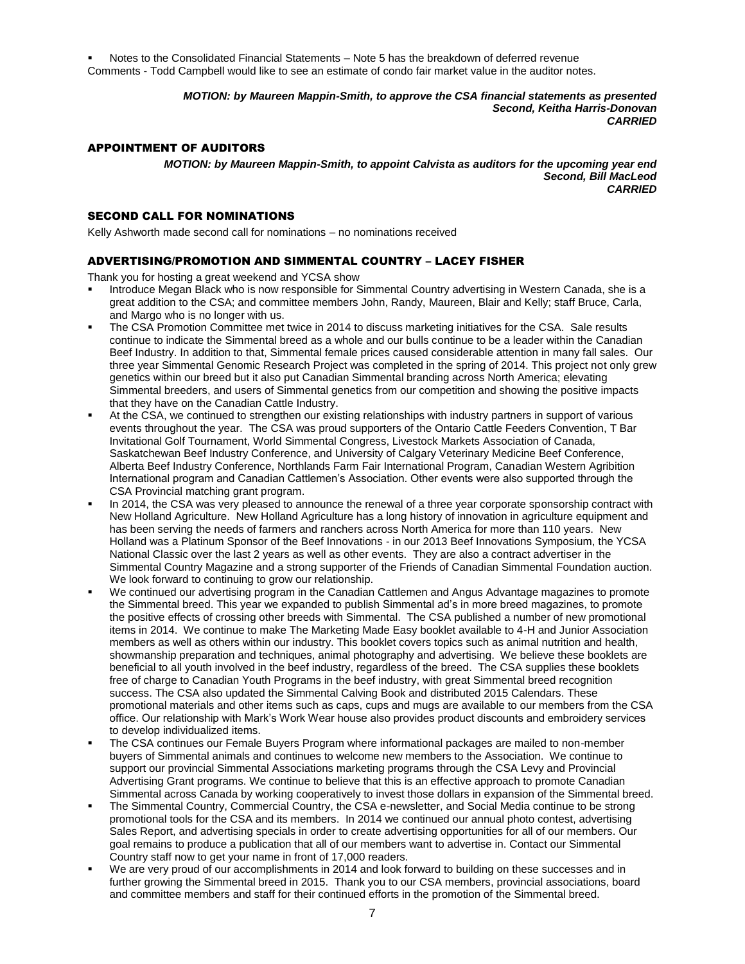Notes to the Consolidated Financial Statements – Note 5 has the breakdown of deferred revenue Comments - Todd Campbell would like to see an estimate of condo fair market value in the auditor notes.

> *MOTION: by Maureen Mappin-Smith, to approve the CSA financial statements as presented Second, Keitha Harris-Donovan CARRIED*

#### APPOINTMENT OF AUDITORS

*MOTION: by Maureen Mappin-Smith, to appoint Calvista as auditors for the upcoming year end Second, Bill MacLeod CARRIED*

### SECOND CALL FOR NOMINATIONS

Kelly Ashworth made second call for nominations – no nominations received

## ADVERTISING/PROMOTION AND SIMMENTAL COUNTRY – LACEY FISHER

Thank you for hosting a great weekend and YCSA show

- Introduce Megan Black who is now responsible for Simmental Country advertising in Western Canada, she is a great addition to the CSA; and committee members John, Randy, Maureen, Blair and Kelly; staff Bruce, Carla, and Margo who is no longer with us.
- The CSA Promotion Committee met twice in 2014 to discuss marketing initiatives for the CSA. Sale results continue to indicate the Simmental breed as a whole and our bulls continue to be a leader within the Canadian Beef Industry. In addition to that, Simmental female prices caused considerable attention in many fall sales. Our three year Simmental Genomic Research Project was completed in the spring of 2014. This project not only grew genetics within our breed but it also put Canadian Simmental branding across North America; elevating Simmental breeders, and users of Simmental genetics from our competition and showing the positive impacts that they have on the Canadian Cattle Industry.
- At the CSA, we continued to strengthen our existing relationships with industry partners in support of various events throughout the year. The CSA was proud supporters of the Ontario Cattle Feeders Convention, T Bar Invitational Golf Tournament, World Simmental Congress, Livestock Markets Association of Canada, Saskatchewan Beef Industry Conference, and University of Calgary Veterinary Medicine Beef Conference, Alberta Beef Industry Conference, Northlands Farm Fair International Program, Canadian Western Agribition International program and Canadian Cattlemen's Association. Other events were also supported through the CSA Provincial matching grant program.
- In 2014, the CSA was very pleased to announce the renewal of a three year corporate sponsorship contract with New Holland Agriculture. New Holland Agriculture has a long history of innovation in agriculture equipment and has been serving the needs of farmers and ranchers across North America for more than 110 years. New Holland was a Platinum Sponsor of the Beef Innovations - in our 2013 Beef Innovations Symposium, the YCSA National Classic over the last 2 years as well as other events. They are also a contract advertiser in the Simmental Country Magazine and a strong supporter of the Friends of Canadian Simmental Foundation auction. We look forward to continuing to grow our relationship.
- We continued our advertising program in the Canadian Cattlemen and Angus Advantage magazines to promote the Simmental breed. This year we expanded to publish Simmental ad's in more breed magazines, to promote the positive effects of crossing other breeds with Simmental. The CSA published a number of new promotional items in 2014. We continue to make The Marketing Made Easy booklet available to 4-H and Junior Association members as well as others within our industry. This booklet covers topics such as animal nutrition and health, showmanship preparation and techniques, animal photography and advertising. We believe these booklets are beneficial to all youth involved in the beef industry, regardless of the breed. The CSA supplies these booklets free of charge to Canadian Youth Programs in the beef industry, with great Simmental breed recognition success. The CSA also updated the Simmental Calving Book and distributed 2015 Calendars. These promotional materials and other items such as caps, cups and mugs are available to our members from the CSA office. Our relationship with Mark's Work Wear house also provides product discounts and embroidery services to develop individualized items.
- The CSA continues our Female Buyers Program where informational packages are mailed to non-member buyers of Simmental animals and continues to welcome new members to the Association. We continue to support our provincial Simmental Associations marketing programs through the CSA Levy and Provincial Advertising Grant programs. We continue to believe that this is an effective approach to promote Canadian Simmental across Canada by working cooperatively to invest those dollars in expansion of the Simmental breed.
- The Simmental Country, Commercial Country, the CSA e-newsletter, and Social Media continue to be strong promotional tools for the CSA and its members. In 2014 we continued our annual photo contest, advertising Sales Report, and advertising specials in order to create advertising opportunities for all of our members. Our goal remains to produce a publication that all of our members want to advertise in. Contact our Simmental Country staff now to get your name in front of 17,000 readers.
- We are very proud of our accomplishments in 2014 and look forward to building on these successes and in further growing the Simmental breed in 2015. Thank you to our CSA members, provincial associations, board and committee members and staff for their continued efforts in the promotion of the Simmental breed.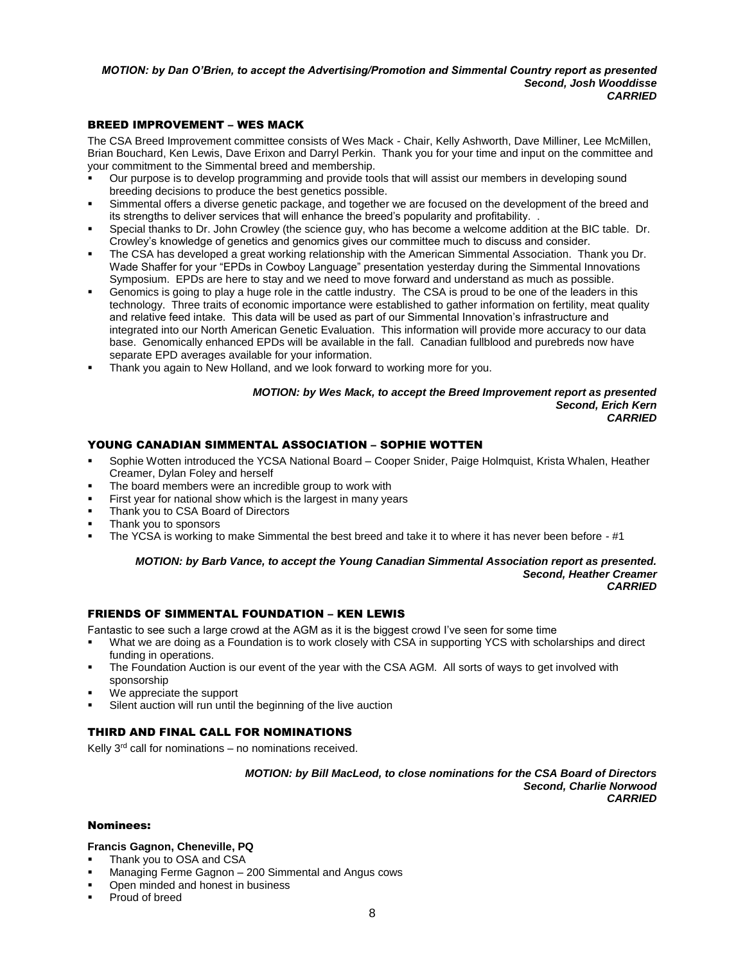#### *MOTION: by Dan O'Brien, to accept the Advertising/Promotion and Simmental Country report as presented Second, Josh Wooddisse CARRIED*

# BREED IMPROVEMENT – WES MACK

The CSA Breed Improvement committee consists of Wes Mack - Chair, Kelly Ashworth, Dave Milliner, Lee McMillen, Brian Bouchard, Ken Lewis, Dave Erixon and Darryl Perkin. Thank you for your time and input on the committee and your commitment to the Simmental breed and membership.

- Our purpose is to develop programming and provide tools that will assist our members in developing sound breeding decisions to produce the best genetics possible.
- Simmental offers a diverse genetic package, and together we are focused on the development of the breed and its strengths to deliver services that will enhance the breed's popularity and profitability. .
- Special thanks to Dr. John Crowley (the science guy, who has become a welcome addition at the BIC table. Dr. Crowley's knowledge of genetics and genomics gives our committee much to discuss and consider.
- The CSA has developed a great working relationship with the American Simmental Association. Thank you Dr. Wade Shaffer for your "EPDs in Cowboy Language" presentation yesterday during the Simmental Innovations Symposium. EPDs are here to stay and we need to move forward and understand as much as possible.
- Genomics is going to play a huge role in the cattle industry. The CSA is proud to be one of the leaders in this technology. Three traits of economic importance were established to gather information on fertility, meat quality and relative feed intake. This data will be used as part of our Simmental Innovation's infrastructure and integrated into our North American Genetic Evaluation. This information will provide more accuracy to our data base. Genomically enhanced EPDs will be available in the fall. Canadian fullblood and purebreds now have separate EPD averages available for your information.
- Thank you again to New Holland, and we look forward to working more for you.

#### *MOTION: by Wes Mack, to accept the Breed Improvement report as presented Second, Erich Kern CARRIED*

# YOUNG CANADIAN SIMMENTAL ASSOCIATION – SOPHIE WOTTEN

- Sophie Wotten introduced the YCSA National Board Cooper Snider, Paige Holmquist, Krista Whalen, Heather Creamer, Dylan Foley and herself
- The board members were an incredible group to work with
- First year for national show which is the largest in many years
- Thank you to CSA Board of Directors
- Thank you to sponsors
- The YCSA is working to make Simmental the best breed and take it to where it has never been before #1

*MOTION: by Barb Vance, to accept the Young Canadian Simmental Association report as presented. Second, Heather Creamer CARRIED*

### FRIENDS OF SIMMENTAL FOUNDATION – KEN LEWIS

Fantastic to see such a large crowd at the AGM as it is the biggest crowd I've seen for some time

- What we are doing as a Foundation is to work closely with CSA in supporting YCS with scholarships and direct funding in operations.
- The Foundation Auction is our event of the year with the CSA AGM. All sorts of ways to get involved with sponsorship
- We appreciate the support
- Silent auction will run until the beginning of the live auction

# THIRD AND FINAL CALL FOR NOMINATIONS

Kelly  $3<sup>rd</sup>$  call for nominations – no nominations received.

*MOTION: by Bill MacLeod, to close nominations for the CSA Board of Directors Second, Charlie Norwood CARRIED*

#### Nominees:

## **Francis Gagnon, Cheneville, PQ**

- Thank you to OSA and CSA
- Managing Ferme Gagnon 200 Simmental and Angus cows
- Open minded and honest in business
- Proud of breed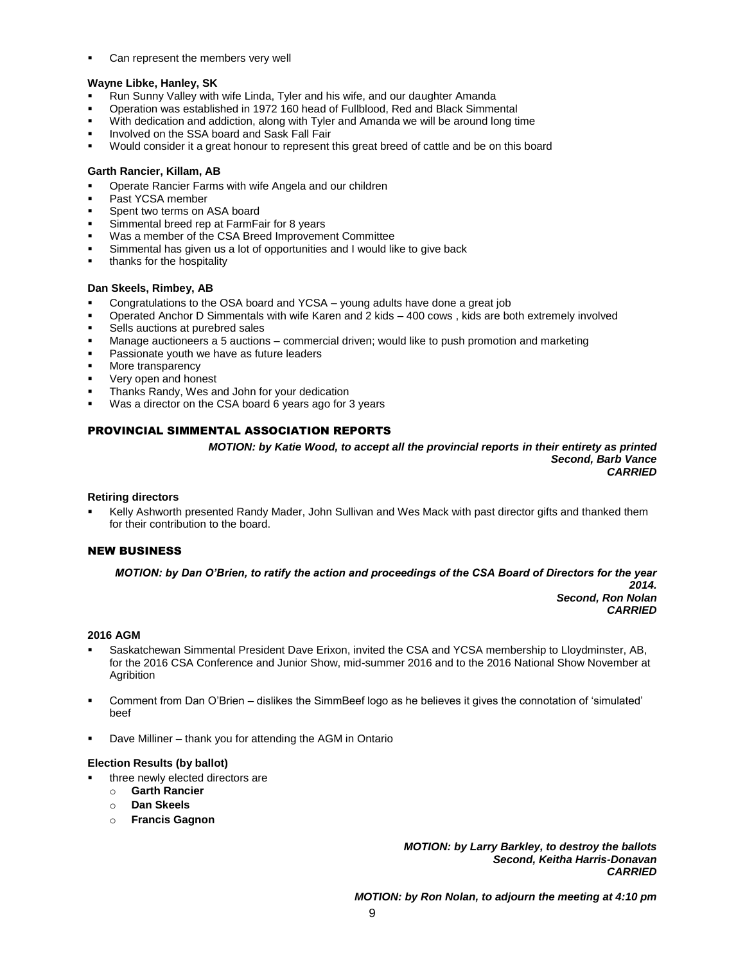Can represent the members very well

## **Wayne Libke, Hanley, SK**

- Run Sunny Valley with wife Linda, Tyler and his wife, and our daughter Amanda
- Operation was established in 1972 160 head of Fullblood, Red and Black Simmental
- With dedication and addiction, along with Tyler and Amanda we will be around long time
- Involved on the SSA board and Sask Fall Fair
- Would consider it a great honour to represent this great breed of cattle and be on this board

#### **Garth Rancier, Killam, AB**

- Operate Rancier Farms with wife Angela and our children
- Past YCSA member
- Spent two terms on ASA board
- Simmental breed rep at FarmFair for 8 years
- Was a member of the CSA Breed Improvement Committee
- Simmental has given us a lot of opportunities and I would like to give back
- thanks for the hospitality

### **Dan Skeels, Rimbey, AB**

- Congratulations to the OSA board and YCSA young adults have done a great job
- Operated Anchor D Simmentals with wife Karen and 2 kids 400 cows , kids are both extremely involved
- Sells auctions at purebred sales
- Manage auctioneers a 5 auctions commercial driven; would like to push promotion and marketing
- Passionate youth we have as future leaders
- More transparency
- Very open and honest
- Thanks Randy, Wes and John for your dedication
- Was a director on the CSA board 6 years ago for 3 years

## PROVINCIAL SIMMENTAL ASSOCIATION REPORTS

*MOTION: by Katie Wood, to accept all the provincial reports in their entirety as printed Second, Barb Vance CARRIED*

### **Retiring directors**

 Kelly Ashworth presented Randy Mader, John Sullivan and Wes Mack with past director gifts and thanked them for their contribution to the board.

#### NEW BUSINESS

*MOTION: by Dan O'Brien, to ratify the action and proceedings of the CSA Board of Directors for the year* 

*2014. Second, Ron Nolan CARRIED*

#### **2016 AGM**

- Saskatchewan Simmental President Dave Erixon, invited the CSA and YCSA membership to Lloydminster, AB, for the 2016 CSA Conference and Junior Show, mid-summer 2016 and to the 2016 National Show November at Agribition
- Comment from Dan O'Brien dislikes the SimmBeef logo as he believes it gives the connotation of 'simulated' beef
- Dave Milliner thank you for attending the AGM in Ontario

#### **Election Results (by ballot)**

- three newly elected directors are
	- o **Garth Rancier**
	- o **Dan Skeels**
	- o **Francis Gagnon**

*MOTION: by Larry Barkley, to destroy the ballots Second, Keitha Harris-Donavan CARRIED*

*MOTION: by Ron Nolan, to adjourn the meeting at 4:10 pm*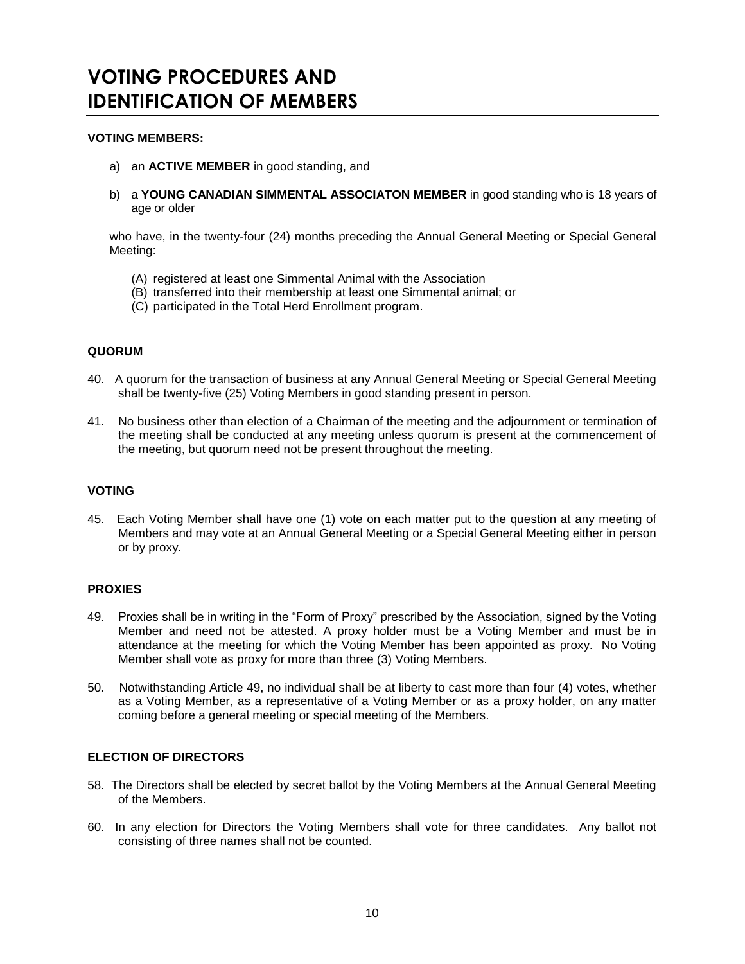# **VOTING PROCEDURES AND IDENTIFICATION OF MEMBERS**

# **VOTING MEMBERS:**

- a) an **ACTIVE MEMBER** in good standing, and
- b) a **YOUNG CANADIAN SIMMENTAL ASSOCIATON MEMBER** in good standing who is 18 years of age or older

who have, in the twenty-four (24) months preceding the Annual General Meeting or Special General Meeting:

- (A) registered at least one Simmental Animal with the Association
- (B) transferred into their membership at least one Simmental animal; or
- (C) participated in the Total Herd Enrollment program.

# **QUORUM**

- 40. A quorum for the transaction of business at any Annual General Meeting or Special General Meeting shall be twenty-five (25) Voting Members in good standing present in person.
- 41. No business other than election of a Chairman of the meeting and the adjournment or termination of the meeting shall be conducted at any meeting unless quorum is present at the commencement of the meeting, but quorum need not be present throughout the meeting.

# **VOTING**

45. Each Voting Member shall have one (1) vote on each matter put to the question at any meeting of Members and may vote at an Annual General Meeting or a Special General Meeting either in person or by proxy.

# **PROXIES**

- 49. Proxies shall be in writing in the "Form of Proxy" prescribed by the Association, signed by the Voting Member and need not be attested. A proxy holder must be a Voting Member and must be in attendance at the meeting for which the Voting Member has been appointed as proxy. No Voting Member shall vote as proxy for more than three (3) Voting Members.
- 50. Notwithstanding Article 49, no individual shall be at liberty to cast more than four (4) votes, whether as a Voting Member, as a representative of a Voting Member or as a proxy holder, on any matter coming before a general meeting or special meeting of the Members.

# **ELECTION OF DIRECTORS**

- 58. The Directors shall be elected by secret ballot by the Voting Members at the Annual General Meeting of the Members.
- 60. In any election for Directors the Voting Members shall vote for three candidates. Any ballot not consisting of three names shall not be counted.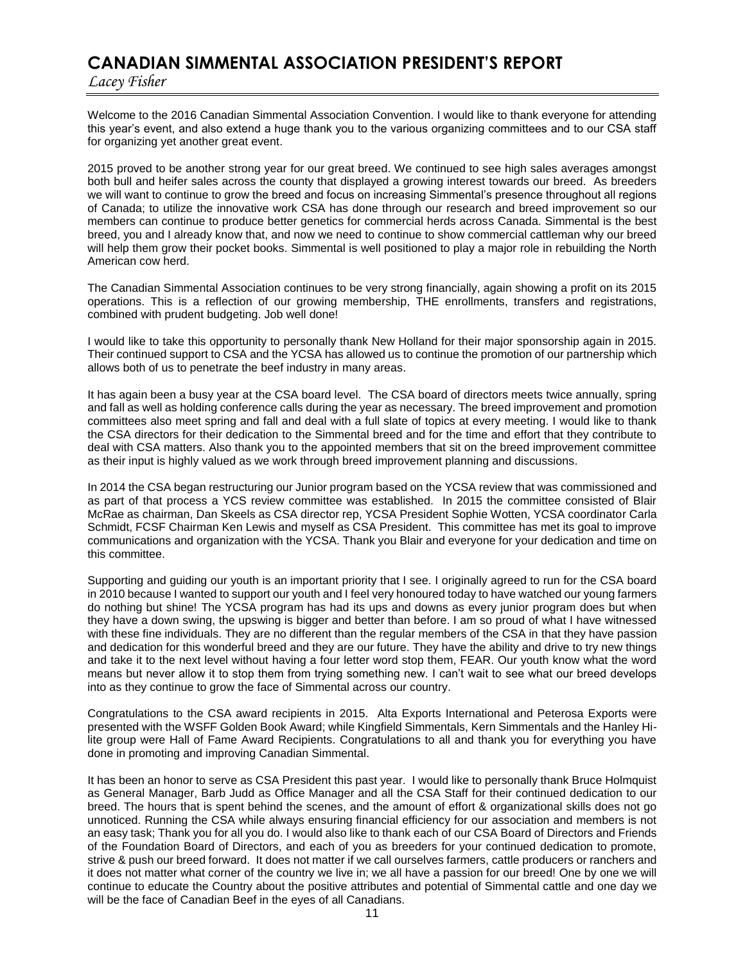# **CANADIAN SIMMENTAL ASSOCIATION PRESIDENT'S REPORT**

*Lacey Fisher*

Welcome to the 2016 Canadian Simmental Association Convention. I would like to thank everyone for attending this year's event, and also extend a huge thank you to the various organizing committees and to our CSA staff for organizing yet another great event.

2015 proved to be another strong year for our great breed. We continued to see high sales averages amongst both bull and heifer sales across the county that displayed a growing interest towards our breed. As breeders we will want to continue to grow the breed and focus on increasing Simmental's presence throughout all regions of Canada; to utilize the innovative work CSA has done through our research and breed improvement so our members can continue to produce better genetics for commercial herds across Canada. Simmental is the best breed, you and I already know that, and now we need to continue to show commercial cattleman why our breed will help them grow their pocket books. Simmental is well positioned to play a major role in rebuilding the North American cow herd.

The Canadian Simmental Association continues to be very strong financially, again showing a profit on its 2015 operations. This is a reflection of our growing membership, THE enrollments, transfers and registrations, combined with prudent budgeting. Job well done!

I would like to take this opportunity to personally thank New Holland for their major sponsorship again in 2015. Their continued support to CSA and the YCSA has allowed us to continue the promotion of our partnership which allows both of us to penetrate the beef industry in many areas.

It has again been a busy year at the CSA board level. The CSA board of directors meets twice annually, spring and fall as well as holding conference calls during the year as necessary. The breed improvement and promotion committees also meet spring and fall and deal with a full slate of topics at every meeting. I would like to thank the CSA directors for their dedication to the Simmental breed and for the time and effort that they contribute to deal with CSA matters. Also thank you to the appointed members that sit on the breed improvement committee as their input is highly valued as we work through breed improvement planning and discussions.

In 2014 the CSA began restructuring our Junior program based on the YCSA review that was commissioned and as part of that process a YCS review committee was established. In 2015 the committee consisted of Blair McRae as chairman, Dan Skeels as CSA director rep, YCSA President Sophie Wotten, YCSA coordinator Carla Schmidt, FCSF Chairman Ken Lewis and myself as CSA President. This committee has met its goal to improve communications and organization with the YCSA. Thank you Blair and everyone for your dedication and time on this committee.

Supporting and guiding our youth is an important priority that I see. I originally agreed to run for the CSA board in 2010 because I wanted to support our youth and I feel very honoured today to have watched our young farmers do nothing but shine! The YCSA program has had its ups and downs as every junior program does but when they have a down swing, the upswing is bigger and better than before. I am so proud of what I have witnessed with these fine individuals. They are no different than the regular members of the CSA in that they have passion and dedication for this wonderful breed and they are our future. They have the ability and drive to try new things and take it to the next level without having a four letter word stop them, FEAR. Our youth know what the word means but never allow it to stop them from trying something new. I can't wait to see what our breed develops into as they continue to grow the face of Simmental across our country.

Congratulations to the CSA award recipients in 2015. Alta Exports International and Peterosa Exports were presented with the WSFF Golden Book Award; while Kingfield Simmentals, Kern Simmentals and the Hanley Hilite group were Hall of Fame Award Recipients. Congratulations to all and thank you for everything you have done in promoting and improving Canadian Simmental.

It has been an honor to serve as CSA President this past year. I would like to personally thank Bruce Holmquist as General Manager, Barb Judd as Office Manager and all the CSA Staff for their continued dedication to our breed. The hours that is spent behind the scenes, and the amount of effort & organizational skills does not go unnoticed. Running the CSA while always ensuring financial efficiency for our association and members is not an easy task; Thank you for all you do. I would also like to thank each of our CSA Board of Directors and Friends of the Foundation Board of Directors, and each of you as breeders for your continued dedication to promote, strive & push our breed forward. It does not matter if we call ourselves farmers, cattle producers or ranchers and it does not matter what corner of the country we live in; we all have a passion for our breed! One by one we will continue to educate the Country about the positive attributes and potential of Simmental cattle and one day we will be the face of Canadian Beef in the eyes of all Canadians.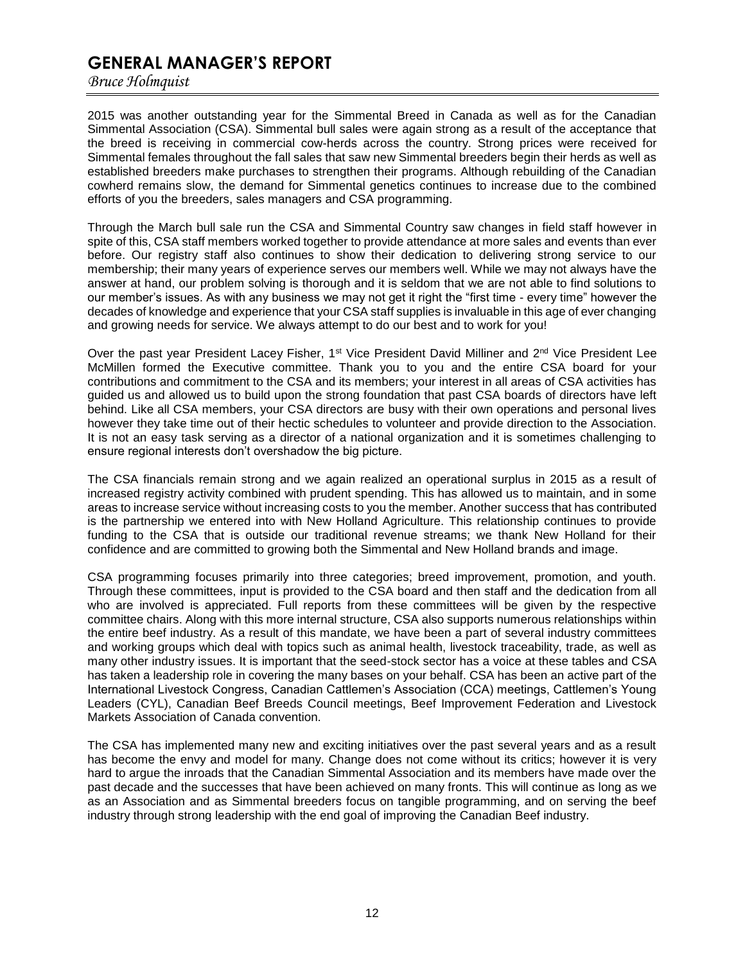# **GENERAL MANAGER'S REPORT**

*Bruce Holmquist*

2015 was another outstanding year for the Simmental Breed in Canada as well as for the Canadian Simmental Association (CSA). Simmental bull sales were again strong as a result of the acceptance that the breed is receiving in commercial cow-herds across the country. Strong prices were received for Simmental females throughout the fall sales that saw new Simmental breeders begin their herds as well as established breeders make purchases to strengthen their programs. Although rebuilding of the Canadian cowherd remains slow, the demand for Simmental genetics continues to increase due to the combined efforts of you the breeders, sales managers and CSA programming.

Through the March bull sale run the CSA and Simmental Country saw changes in field staff however in spite of this, CSA staff members worked together to provide attendance at more sales and events than ever before. Our registry staff also continues to show their dedication to delivering strong service to our membership; their many years of experience serves our members well. While we may not always have the answer at hand, our problem solving is thorough and it is seldom that we are not able to find solutions to our member's issues. As with any business we may not get it right the "first time - every time" however the decades of knowledge and experience that your CSA staff supplies is invaluable in this age of ever changing and growing needs for service. We always attempt to do our best and to work for you!

Over the past year President Lacey Fisher,  $1^{st}$  Vice President David Milliner and  $2^{nd}$  Vice President Lee McMillen formed the Executive committee. Thank you to you and the entire CSA board for your contributions and commitment to the CSA and its members; your interest in all areas of CSA activities has guided us and allowed us to build upon the strong foundation that past CSA boards of directors have left behind. Like all CSA members, your CSA directors are busy with their own operations and personal lives however they take time out of their hectic schedules to volunteer and provide direction to the Association. It is not an easy task serving as a director of a national organization and it is sometimes challenging to ensure regional interests don't overshadow the big picture.

The CSA financials remain strong and we again realized an operational surplus in 2015 as a result of increased registry activity combined with prudent spending. This has allowed us to maintain, and in some areas to increase service without increasing costs to you the member. Another success that has contributed is the partnership we entered into with New Holland Agriculture. This relationship continues to provide funding to the CSA that is outside our traditional revenue streams; we thank New Holland for their confidence and are committed to growing both the Simmental and New Holland brands and image.

CSA programming focuses primarily into three categories; breed improvement, promotion, and youth. Through these committees, input is provided to the CSA board and then staff and the dedication from all who are involved is appreciated. Full reports from these committees will be given by the respective committee chairs. Along with this more internal structure, CSA also supports numerous relationships within the entire beef industry. As a result of this mandate, we have been a part of several industry committees and working groups which deal with topics such as animal health, livestock traceability, trade, as well as many other industry issues. It is important that the seed-stock sector has a voice at these tables and CSA has taken a leadership role in covering the many bases on your behalf. CSA has been an active part of the International Livestock Congress, Canadian Cattlemen's Association (CCA) meetings, Cattlemen's Young Leaders (CYL), Canadian Beef Breeds Council meetings, Beef Improvement Federation and Livestock Markets Association of Canada convention.

The CSA has implemented many new and exciting initiatives over the past several years and as a result has become the envy and model for many. Change does not come without its critics; however it is very hard to argue the inroads that the Canadian Simmental Association and its members have made over the past decade and the successes that have been achieved on many fronts. This will continue as long as we as an Association and as Simmental breeders focus on tangible programming, and on serving the beef industry through strong leadership with the end goal of improving the Canadian Beef industry.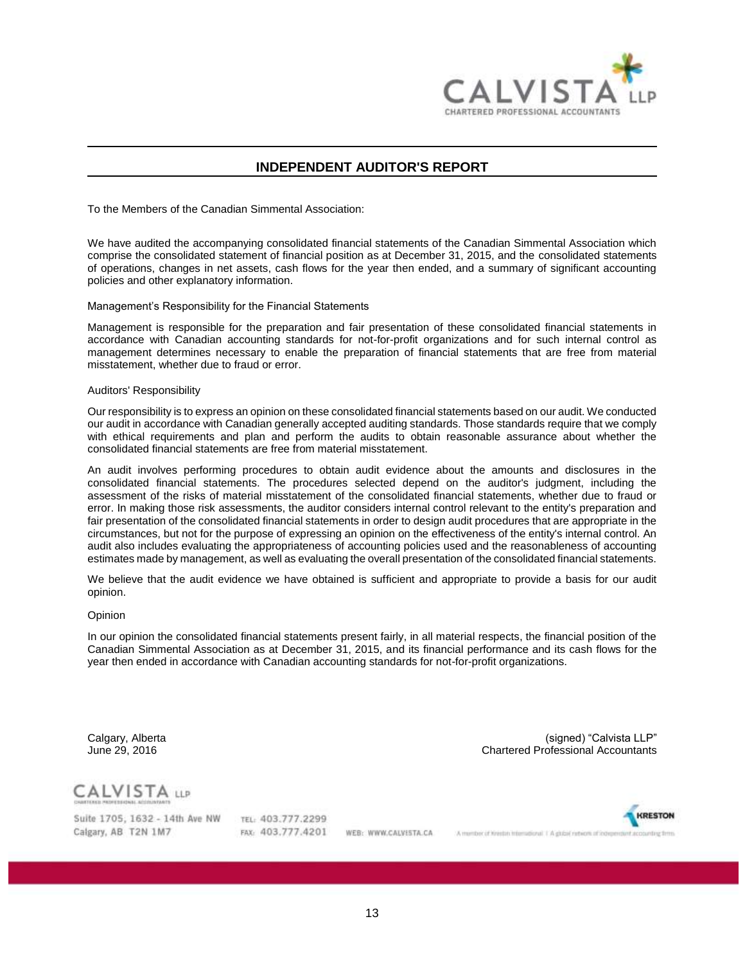

# **INDEPENDENT AUDITOR'S REPORT**

To the Members of the Canadian Simmental Association:

We have audited the accompanying consolidated financial statements of the Canadian Simmental Association which comprise the consolidated statement of financial position as at December 31, 2015, and the consolidated statements of operations, changes in net assets, cash flows for the year then ended, and a summary of significant accounting policies and other explanatory information.

Management's Responsibility for the Financial Statements

Management is responsible for the preparation and fair presentation of these consolidated financial statements in accordance with Canadian accounting standards for not-for-profit organizations and for such internal control as management determines necessary to enable the preparation of financial statements that are free from material misstatement, whether due to fraud or error.

#### Auditors' Responsibility

Our responsibility is to express an opinion on these consolidated financial statements based on our audit. We conducted our audit in accordance with Canadian generally accepted auditing standards. Those standards require that we comply with ethical requirements and plan and perform the audits to obtain reasonable assurance about whether the consolidated financial statements are free from material misstatement.

An audit involves performing procedures to obtain audit evidence about the amounts and disclosures in the consolidated financial statements. The procedures selected depend on the auditor's judgment, including the assessment of the risks of material misstatement of the consolidated financial statements, whether due to fraud or error. In making those risk assessments, the auditor considers internal control relevant to the entity's preparation and fair presentation of the consolidated financial statements in order to design audit procedures that are appropriate in the circumstances, but not for the purpose of expressing an opinion on the effectiveness of the entity's internal control. An audit also includes evaluating the appropriateness of accounting policies used and the reasonableness of accounting estimates made by management, as well as evaluating the overall presentation of the consolidated financial statements.

We believe that the audit evidence we have obtained is sufficient and appropriate to provide a basis for our audit opinion.

#### Opinion

In our opinion the consolidated financial statements present fairly, in all material respects, the financial position of the Canadian Simmental Association as at December 31, 2015, and its financial performance and its cash flows for the year then ended in accordance with Canadian accounting standards for not-for-profit organizations.

Calgary, Alberta (signed) "Calvista LLP" **Chartered Professional Accountants** 

**CALVISTA LLP** 

Suite 1705, 1632 - 14th Ave NW Calgary, AB T2N 1M7

TEL: 403.777.2299 FAX: 403.777.4201

WEB: WWW.CALVISTA.CA

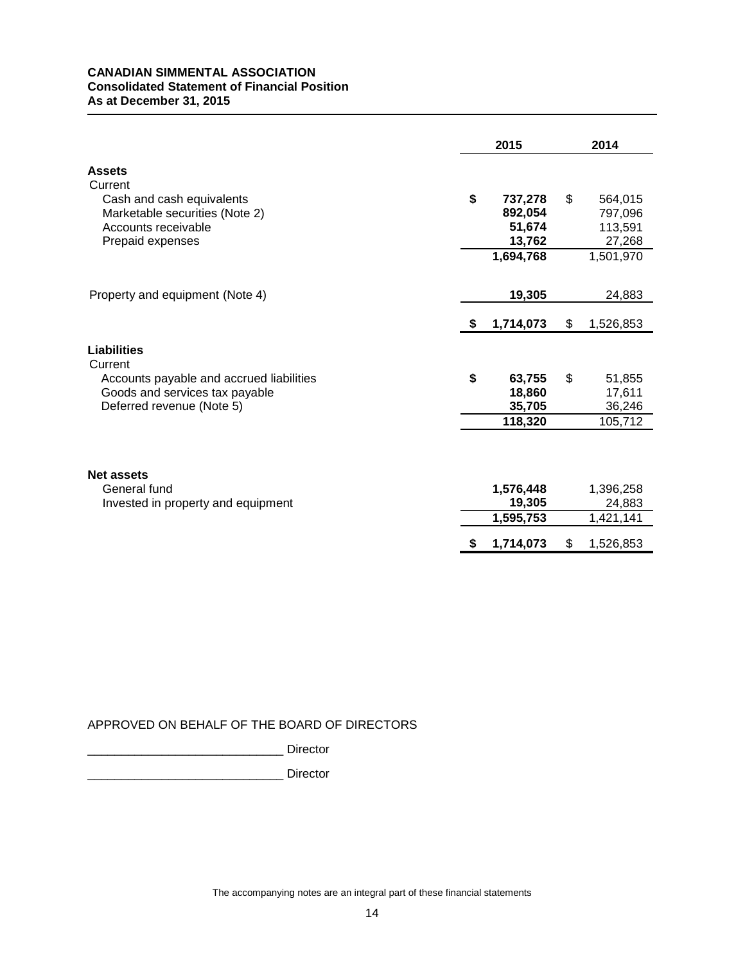# **CANADIAN SIMMENTAL ASSOCIATION Consolidated Statement of Financial Position As at December 31, 2015**

| Current<br>\$<br>\$<br>Cash and cash equivalents<br>737,278<br>564,015<br>Marketable securities (Note 2)<br>892,054<br>797,096<br>Accounts receivable<br>51,674<br>113,591<br>13,762<br>27,268<br>Prepaid expenses<br>1,694,768<br>1,501,970<br>19,305<br>Property and equipment (Note 4)<br>24,883<br>1,714,073<br>\$<br>1,526,853<br>S.<br>Current<br>\$<br>63,755<br>\$<br>Accounts payable and accrued liabilities<br>51,855<br>Goods and services tax payable<br>18,860<br>17,611<br>35,705<br>Deferred revenue (Note 5)<br>36,246<br>105,712<br>118,320<br>General fund<br>1,576,448<br>1,396,258<br>19,305<br>24,883<br>Invested in property and equipment<br>1,595,753<br>1,421,141<br>1,714,073<br>\$<br>1,526,853<br>S |                    | 2015 |  |  | 2014 |  |  |
|----------------------------------------------------------------------------------------------------------------------------------------------------------------------------------------------------------------------------------------------------------------------------------------------------------------------------------------------------------------------------------------------------------------------------------------------------------------------------------------------------------------------------------------------------------------------------------------------------------------------------------------------------------------------------------------------------------------------------------|--------------------|------|--|--|------|--|--|
|                                                                                                                                                                                                                                                                                                                                                                                                                                                                                                                                                                                                                                                                                                                                  | <b>Assets</b>      |      |  |  |      |  |  |
|                                                                                                                                                                                                                                                                                                                                                                                                                                                                                                                                                                                                                                                                                                                                  |                    |      |  |  |      |  |  |
|                                                                                                                                                                                                                                                                                                                                                                                                                                                                                                                                                                                                                                                                                                                                  |                    |      |  |  |      |  |  |
|                                                                                                                                                                                                                                                                                                                                                                                                                                                                                                                                                                                                                                                                                                                                  | <b>Liabilities</b> |      |  |  |      |  |  |
|                                                                                                                                                                                                                                                                                                                                                                                                                                                                                                                                                                                                                                                                                                                                  |                    |      |  |  |      |  |  |
|                                                                                                                                                                                                                                                                                                                                                                                                                                                                                                                                                                                                                                                                                                                                  | <b>Net assets</b>  |      |  |  |      |  |  |
|                                                                                                                                                                                                                                                                                                                                                                                                                                                                                                                                                                                                                                                                                                                                  |                    |      |  |  |      |  |  |

# APPROVED ON BEHALF OF THE BOARD OF DIRECTORS

\_\_\_\_\_\_\_\_\_\_\_\_\_\_\_\_\_\_\_\_\_\_\_\_\_\_\_\_\_ Director

\_\_\_\_\_\_\_\_\_\_\_\_\_\_\_\_\_\_\_\_\_\_\_\_\_\_\_\_\_ Director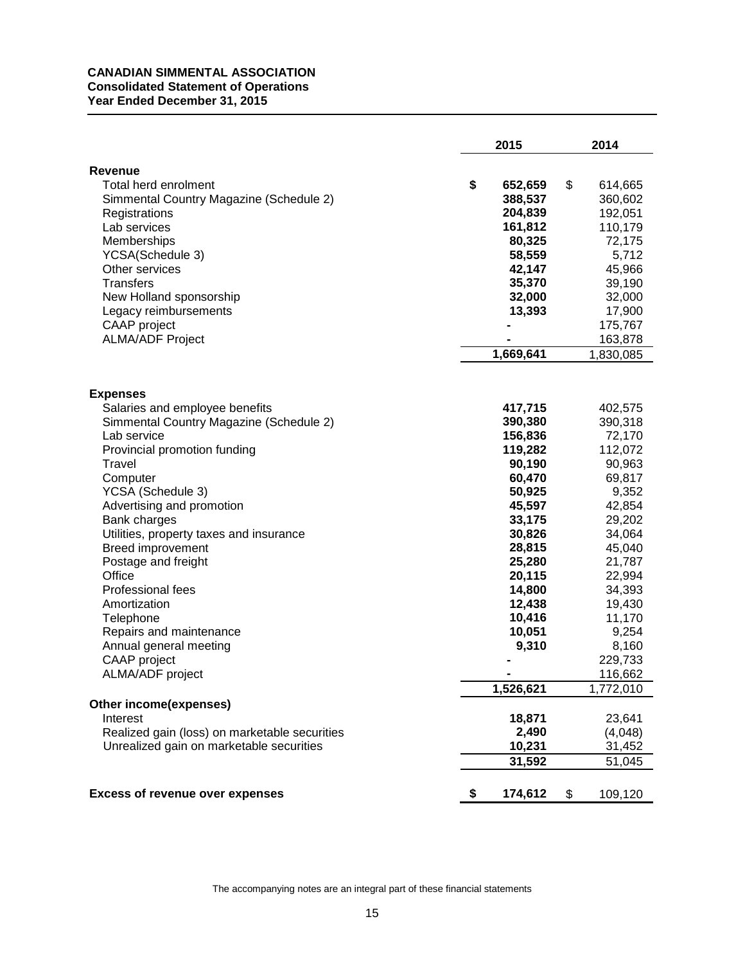# **CANADIAN SIMMENTAL ASSOCIATION Consolidated Statement of Operations Year Ended December 31, 2015**

|                                               | 2015          | 2014          |
|-----------------------------------------------|---------------|---------------|
| <b>Revenue</b>                                |               |               |
| Total herd enrolment                          | \$<br>652,659 | \$<br>614,665 |
| Simmental Country Magazine (Schedule 2)       | 388,537       | 360,602       |
| Registrations                                 | 204,839       | 192,051       |
| Lab services                                  | 161,812       | 110,179       |
| Memberships                                   | 80,325        | 72,175        |
| YCSA(Schedule 3)                              | 58,559        | 5,712         |
| Other services                                | 42,147        | 45,966        |
| Transfers                                     | 35,370        | 39,190        |
| New Holland sponsorship                       | 32,000        | 32,000        |
| Legacy reimbursements                         | 13,393        | 17,900        |
| CAAP project                                  |               | 175,767       |
| <b>ALMA/ADF Project</b>                       |               | 163,878       |
|                                               | 1,669,641     | 1,830,085     |
|                                               |               |               |
| <b>Expenses</b>                               |               |               |
| Salaries and employee benefits                | 417,715       | 402,575       |
| Simmental Country Magazine (Schedule 2)       | 390,380       | 390,318       |
| Lab service                                   | 156,836       | 72,170        |
| Provincial promotion funding                  | 119,282       | 112,072       |
| Travel                                        | 90,190        | 90,963        |
| Computer                                      | 60,470        | 69,817        |
| YCSA (Schedule 3)                             | 50,925        | 9,352         |
| Advertising and promotion                     | 45,597        | 42,854        |
| Bank charges                                  | 33,175        | 29,202        |
| Utilities, property taxes and insurance       | 30,826        | 34,064        |
| <b>Breed improvement</b>                      | 28,815        | 45,040        |
| Postage and freight                           | 25,280        | 21,787        |
| Office                                        | 20,115        | 22,994        |
| <b>Professional fees</b>                      | 14,800        | 34,393        |
| Amortization                                  | 12,438        | 19,430        |
| Telephone                                     | 10,416        | 11,170        |
| Repairs and maintenance                       | 10,051        | 9,254         |
| Annual general meeting                        | 9,310         | 8,160         |
| CAAP project                                  |               | 229,733       |
| ALMA/ADF project                              |               | 116,662       |
|                                               | 1,526,621     | 1,772,010     |
| Other income(expenses)                        |               |               |
| Interest                                      | 18,871        | 23,641        |
| Realized gain (loss) on marketable securities | 2,490         | (4,048)       |
| Unrealized gain on marketable securities      | 10,231        | 31,452        |
|                                               | 31,592        | 51,045        |
|                                               |               |               |
| <b>Excess of revenue over expenses</b>        | \$<br>174,612 | \$<br>109,120 |

The accompanying notes are an integral part of these financial statements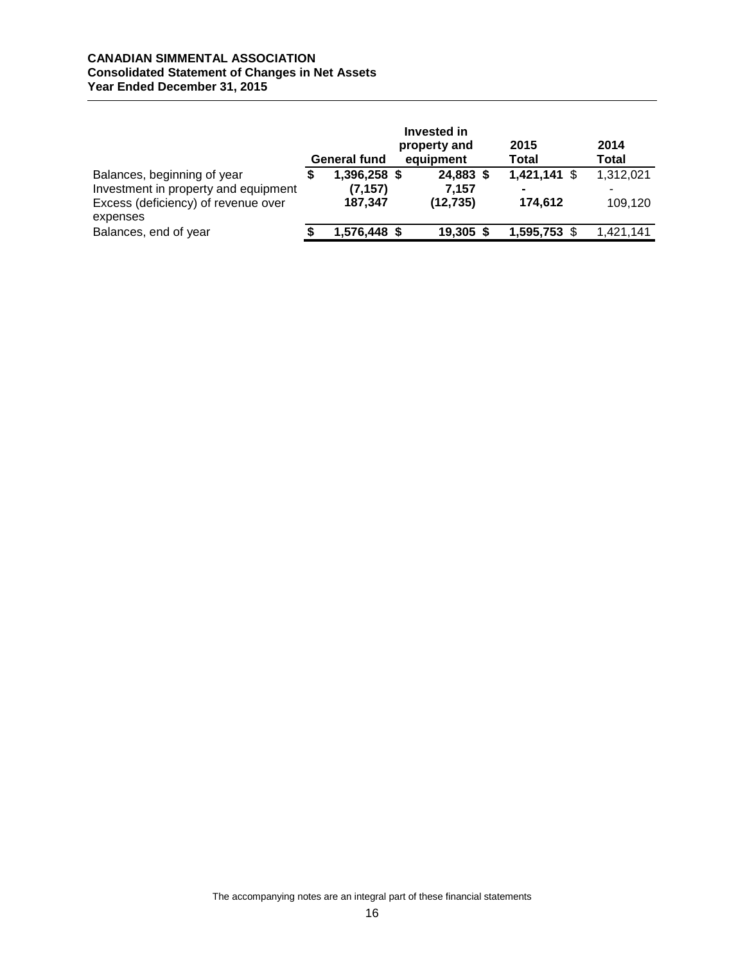# **CANADIAN SIMMENTAL ASSOCIATION Consolidated Statement of Changes in Net Assets Year Ended December 31, 2015**

|                                                                                                                        | <b>General fund</b>                 | Invested in<br>property and<br>equipment | 2015<br><b>Total</b>                        | 2014<br><b>Total</b> |
|------------------------------------------------------------------------------------------------------------------------|-------------------------------------|------------------------------------------|---------------------------------------------|----------------------|
| Balances, beginning of year<br>Investment in property and equipment<br>Excess (deficiency) of revenue over<br>expenses | 1,396,258 \$<br>(7, 157)<br>187,347 | 24,883 \$<br>7.157<br>(12, 735)          | $1,421,141$ \$<br>$\blacksquare$<br>174,612 | 1,312,021<br>109,120 |
| Balances, end of year                                                                                                  | 1,576,448 \$                        | 19,305                                   | 1,595,753 \$                                | 1,421,141            |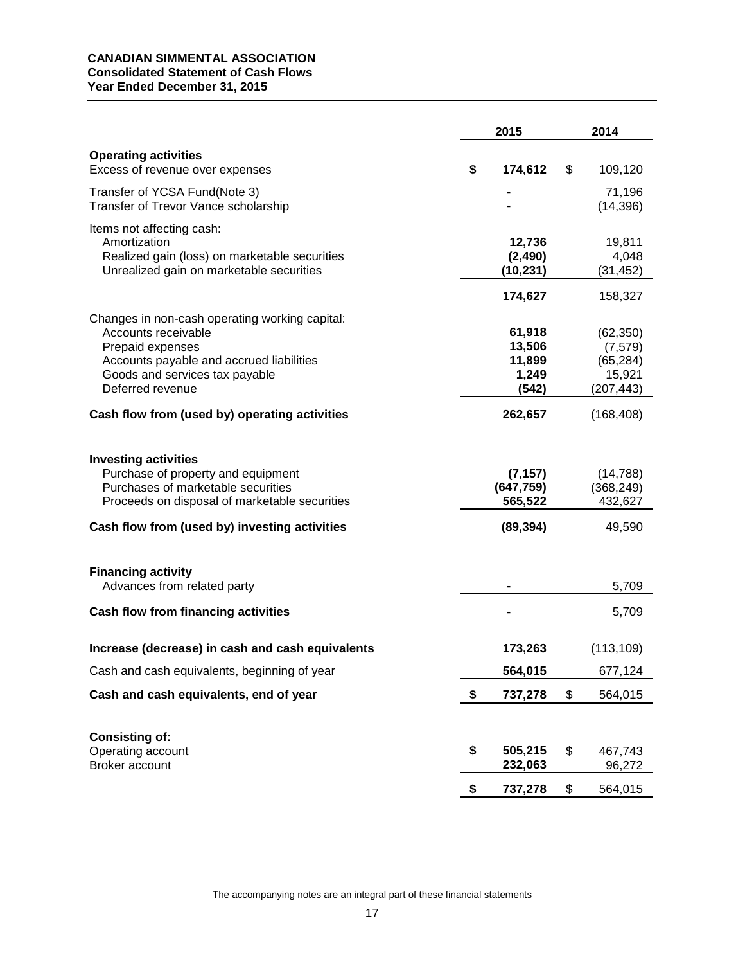# **CANADIAN SIMMENTAL ASSOCIATION Consolidated Statement of Cash Flows Year Ended December 31, 2015**

|                                                                                                                                                                                                           | 2015 |                                                |    | 2014                                                       |
|-----------------------------------------------------------------------------------------------------------------------------------------------------------------------------------------------------------|------|------------------------------------------------|----|------------------------------------------------------------|
| <b>Operating activities</b><br>Excess of revenue over expenses                                                                                                                                            | \$   | 174,612                                        | \$ | 109,120                                                    |
| Transfer of YCSA Fund(Note 3)<br>Transfer of Trevor Vance scholarship                                                                                                                                     |      |                                                |    | 71,196<br>(14, 396)                                        |
| Items not affecting cash:<br>Amortization<br>Realized gain (loss) on marketable securities<br>Unrealized gain on marketable securities                                                                    |      | 12,736<br>(2, 490)<br>(10, 231)                |    | 19,811<br>4,048<br>(31, 452)                               |
|                                                                                                                                                                                                           |      | 174,627                                        |    | 158,327                                                    |
| Changes in non-cash operating working capital:<br>Accounts receivable<br>Prepaid expenses<br>Accounts payable and accrued liabilities<br>Goods and services tax payable<br>Deferred revenue               |      | 61,918<br>13,506<br>11,899<br>1,249<br>(542)   |    | (62, 350)<br>(7, 579)<br>(65, 284)<br>15,921<br>(207, 443) |
| Cash flow from (used by) operating activities                                                                                                                                                             |      | 262,657                                        |    | (168, 408)                                                 |
| <b>Investing activities</b><br>Purchase of property and equipment<br>Purchases of marketable securities<br>Proceeds on disposal of marketable securities<br>Cash flow from (used by) investing activities |      | (7, 157)<br>(647, 759)<br>565,522<br>(89, 394) |    | (14, 788)<br>(368, 249)<br>432,627<br>49,590               |
| <b>Financing activity</b><br>Advances from related party                                                                                                                                                  |      |                                                |    | 5,709                                                      |
| <b>Cash flow from financing activities</b>                                                                                                                                                                |      |                                                |    | 5,709                                                      |
| Increase (decrease) in cash and cash equivalents                                                                                                                                                          |      | 173,263                                        |    | (113, 109)                                                 |
| Cash and cash equivalents, beginning of year                                                                                                                                                              |      | 564,015                                        |    | 677,124                                                    |
| Cash and cash equivalents, end of year                                                                                                                                                                    | \$   | 737,278                                        | \$ | 564,015                                                    |
| <b>Consisting of:</b><br>Operating account<br>Broker account                                                                                                                                              | \$   | 505,215<br>232,063                             | \$ | 467,743<br>96,272                                          |
|                                                                                                                                                                                                           | \$   | 737,278                                        | \$ | 564,015                                                    |

The accompanying notes are an integral part of these financial statements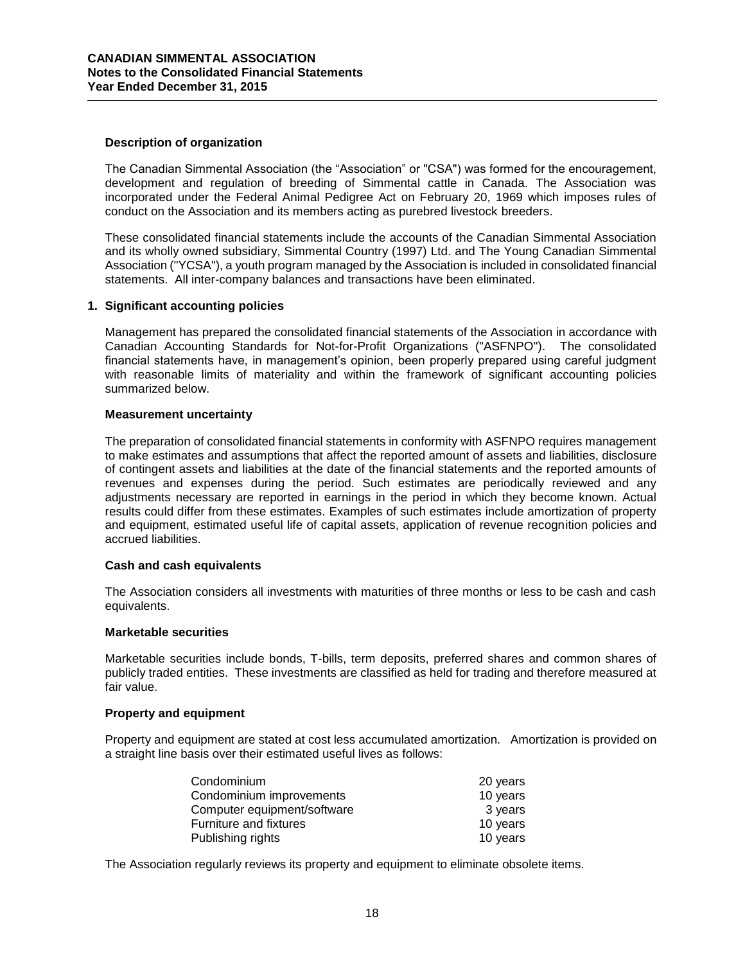# **Description of organization**

The Canadian Simmental Association (the "Association" or "CSA") was formed for the encouragement, development and regulation of breeding of Simmental cattle in Canada. The Association was incorporated under the Federal Animal Pedigree Act on February 20, 1969 which imposes rules of conduct on the Association and its members acting as purebred livestock breeders.

These consolidated financial statements include the accounts of the Canadian Simmental Association and its wholly owned subsidiary, Simmental Country (1997) Ltd. and The Young Canadian Simmental Association ("YCSA"), a youth program managed by the Association is included in consolidated financial statements. All inter-company balances and transactions have been eliminated.

## **1. Significant accounting policies**

Management has prepared the consolidated financial statements of the Association in accordance with Canadian Accounting Standards for Not-for-Profit Organizations ("ASFNPO"). The consolidated financial statements have, in management's opinion, been properly prepared using careful judgment with reasonable limits of materiality and within the framework of significant accounting policies summarized below.

## **Measurement uncertainty**

The preparation of consolidated financial statements in conformity with ASFNPO requires management to make estimates and assumptions that affect the reported amount of assets and liabilities, disclosure of contingent assets and liabilities at the date of the financial statements and the reported amounts of revenues and expenses during the period. Such estimates are periodically reviewed and any adjustments necessary are reported in earnings in the period in which they become known. Actual results could differ from these estimates. Examples of such estimates include amortization of property and equipment, estimated useful life of capital assets, application of revenue recognition policies and accrued liabilities.

### **Cash and cash equivalents**

The Association considers all investments with maturities of three months or less to be cash and cash equivalents.

### **Marketable securities**

Marketable securities include bonds, T-bills, term deposits, preferred shares and common shares of publicly traded entities. These investments are classified as held for trading and therefore measured at fair value.

# **Property and equipment**

Property and equipment are stated at cost less accumulated amortization. Amortization is provided on a straight line basis over their estimated useful lives as follows:

| Condominium                 | 20 years |
|-----------------------------|----------|
| Condominium improvements    | 10 years |
| Computer equipment/software | 3 years  |
| Furniture and fixtures      | 10 years |
| Publishing rights           | 10 years |

The Association regularly reviews its property and equipment to eliminate obsolete items.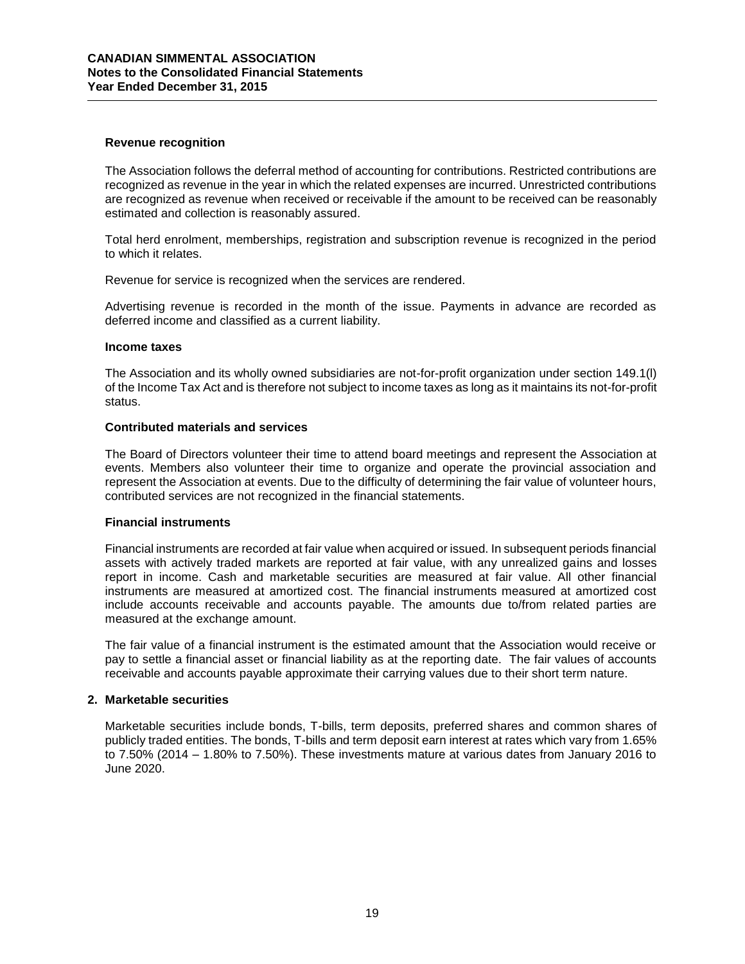# **Revenue recognition**

The Association follows the deferral method of accounting for contributions. Restricted contributions are recognized as revenue in the year in which the related expenses are incurred. Unrestricted contributions are recognized as revenue when received or receivable if the amount to be received can be reasonably estimated and collection is reasonably assured.

Total herd enrolment, memberships, registration and subscription revenue is recognized in the period to which it relates.

Revenue for service is recognized when the services are rendered.

Advertising revenue is recorded in the month of the issue. Payments in advance are recorded as deferred income and classified as a current liability.

## **Income taxes**

The Association and its wholly owned subsidiaries are not-for-profit organization under section 149.1(l) of the Income Tax Act and is therefore not subject to income taxes as long as it maintains its not-for-profit status.

## **Contributed materials and services**

The Board of Directors volunteer their time to attend board meetings and represent the Association at events. Members also volunteer their time to organize and operate the provincial association and represent the Association at events. Due to the difficulty of determining the fair value of volunteer hours, contributed services are not recognized in the financial statements.

## **Financial instruments**

Financial instruments are recorded at fair value when acquired or issued. In subsequent periods financial assets with actively traded markets are reported at fair value, with any unrealized gains and losses report in income. Cash and marketable securities are measured at fair value. All other financial instruments are measured at amortized cost. The financial instruments measured at amortized cost include accounts receivable and accounts payable. The amounts due to/from related parties are measured at the exchange amount.

The fair value of a financial instrument is the estimated amount that the Association would receive or pay to settle a financial asset or financial liability as at the reporting date. The fair values of accounts receivable and accounts payable approximate their carrying values due to their short term nature.

# **2. Marketable securities**

Marketable securities include bonds, T-bills, term deposits, preferred shares and common shares of publicly traded entities. The bonds, T-bills and term deposit earn interest at rates which vary from 1.65% to 7.50% (2014 – 1.80% to 7.50%). These investments mature at various dates from January 2016 to June 2020.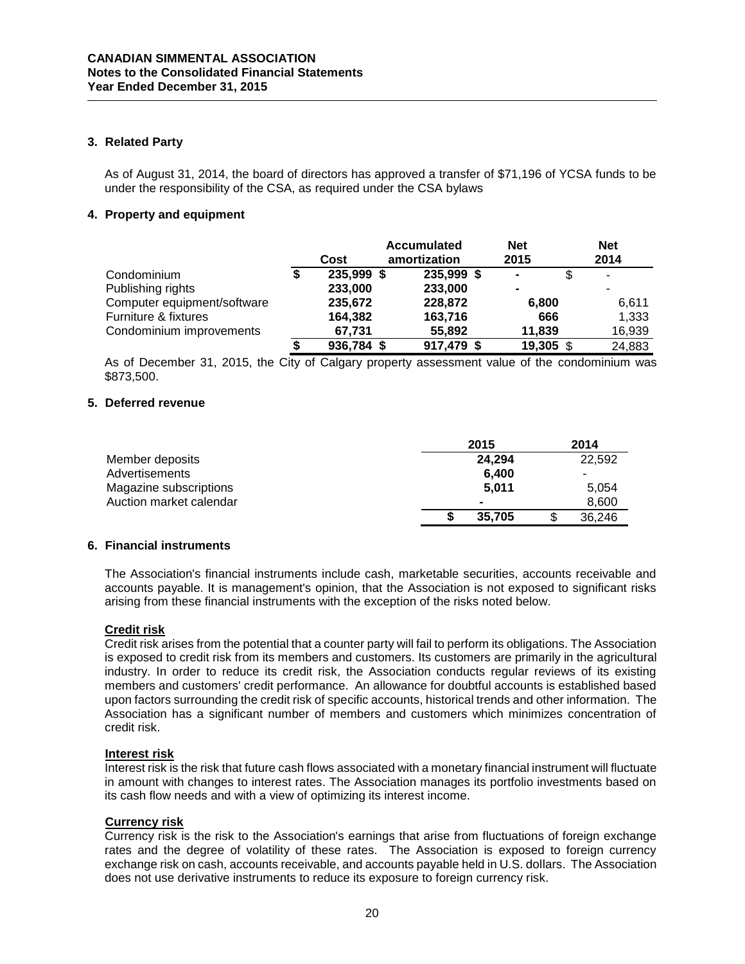# **3. Related Party**

As of August 31, 2014, the board of directors has approved a transfer of \$71,196 of YCSA funds to be under the responsibility of the CSA, as required under the CSA bylaws

# **4. Property and equipment**

|                             | Cost       | <b>Accumulated</b><br>amortization | <b>Net</b><br>2015 |           | <b>Net</b><br>2014 |
|-----------------------------|------------|------------------------------------|--------------------|-----------|--------------------|
| Condominium                 | 235,999 \$ | 235,999 \$                         | $\blacksquare$     |           | ۰                  |
| Publishing rights           | 233,000    | 233,000                            | $\blacksquare$     |           |                    |
| Computer equipment/software | 235,672    | 228,872                            | 6,800              |           | 6,611              |
| Furniture & fixtures        | 164,382    | 163,716                            |                    | 666       | 1,333              |
| Condominium improvements    | 67,731     | 55,892                             | 11,839             |           | 16,939             |
|                             | 936,784 \$ | 917,479 \$                         |                    | 19,305 \$ | 24,883             |

As of December 31, 2015, the City of Calgary property assessment value of the condominium was \$873,500.

# **5. Deferred revenue**

|                         | 2015           | 2014   |
|-------------------------|----------------|--------|
| Member deposits         | 24.294         | 22.592 |
| Advertisements          | 6.400          | -      |
| Magazine subscriptions  | 5.011          | 5.054  |
| Auction market calendar | $\blacksquare$ | 8.600  |
|                         | 35,705         | 36,246 |

# **6. Financial instruments**

The Association's financial instruments include cash, marketable securities, accounts receivable and accounts payable. It is management's opinion, that the Association is not exposed to significant risks arising from these financial instruments with the exception of the risks noted below.

# **Credit risk**

Credit risk arises from the potential that a counter party will fail to perform its obligations. The Association is exposed to credit risk from its members and customers. Its customers are primarily in the agricultural industry. In order to reduce its credit risk, the Association conducts regular reviews of its existing members and customers' credit performance. An allowance for doubtful accounts is established based upon factors surrounding the credit risk of specific accounts, historical trends and other information. The Association has a significant number of members and customers which minimizes concentration of credit risk.

# **Interest risk**

Interest risk is the risk that future cash flows associated with a monetary financial instrument will fluctuate in amount with changes to interest rates. The Association manages its portfolio investments based on its cash flow needs and with a view of optimizing its interest income.

# **Currency risk**

Currency risk is the risk to the Association's earnings that arise from fluctuations of foreign exchange rates and the degree of volatility of these rates. The Association is exposed to foreign currency exchange risk on cash, accounts receivable, and accounts payable held in U.S. dollars. The Association does not use derivative instruments to reduce its exposure to foreign currency risk.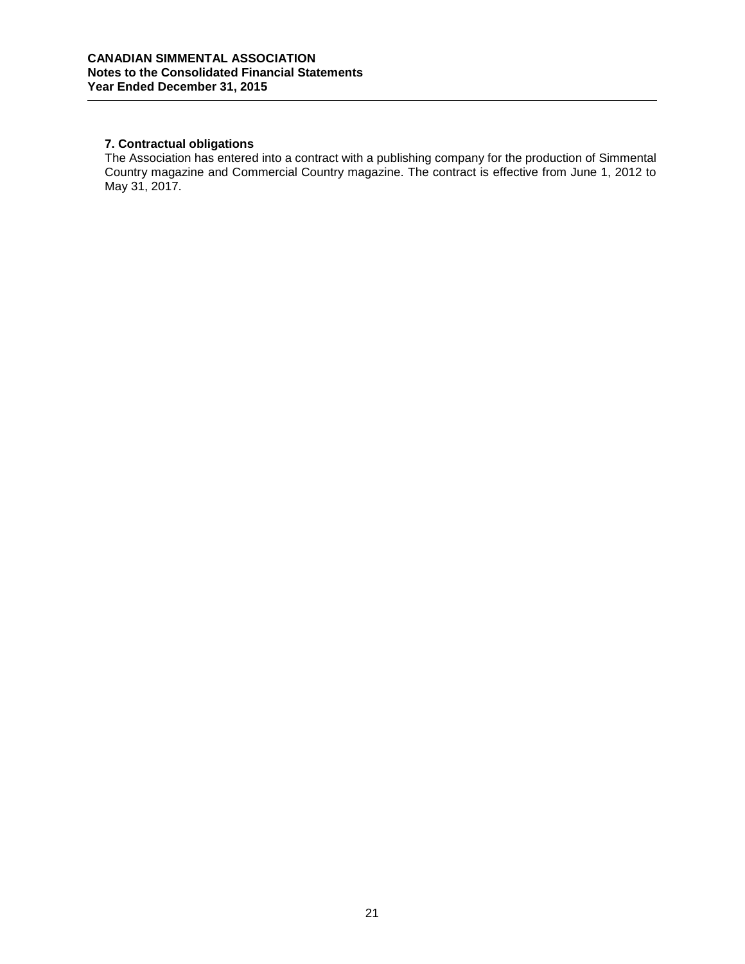# **7. Contractual obligations**

The Association has entered into a contract with a publishing company for the production of Simmental Country magazine and Commercial Country magazine. The contract is effective from June 1, 2012 to May 31, 2017.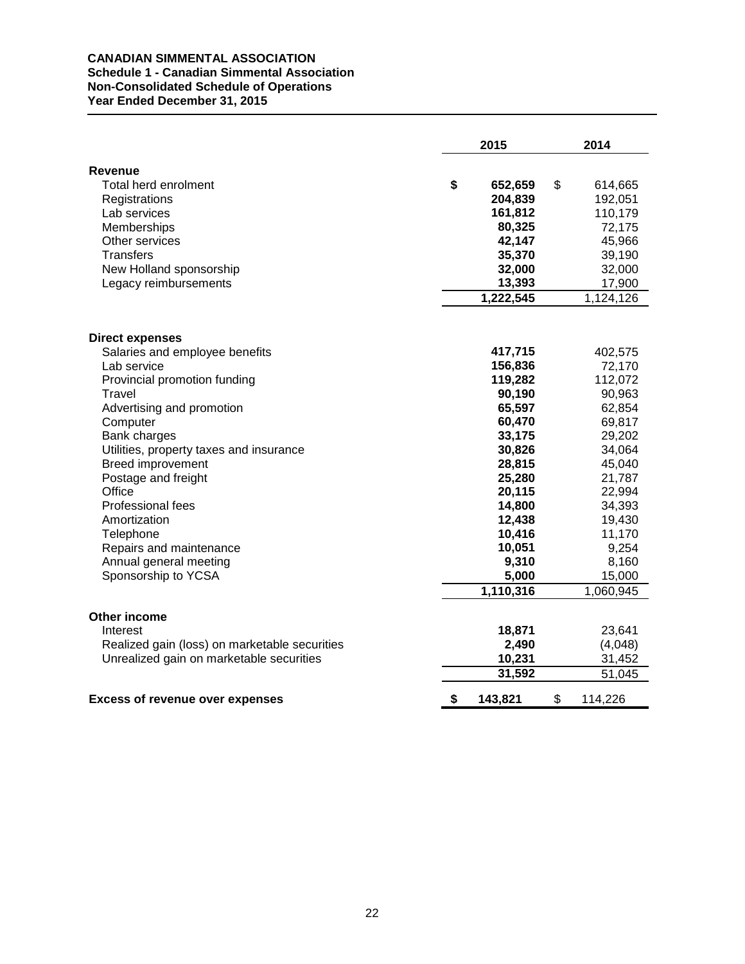# **CANADIAN SIMMENTAL ASSOCIATION Schedule 1 - Canadian Simmental Association Non-Consolidated Schedule of Operations Year Ended December 31, 2015**

|                                               | 2015          | 2014          |
|-----------------------------------------------|---------------|---------------|
| <b>Revenue</b>                                |               |               |
| Total herd enrolment                          | \$<br>652,659 | \$<br>614,665 |
| Registrations                                 | 204,839       | 192,051       |
| Lab services                                  | 161,812       | 110,179       |
| Memberships                                   | 80,325        | 72,175        |
| Other services                                | 42,147        | 45,966        |
| <b>Transfers</b>                              | 35,370        | 39,190        |
| New Holland sponsorship                       | 32,000        | 32,000        |
| Legacy reimbursements                         | 13,393        | 17,900        |
|                                               | 1,222,545     | 1,124,126     |
|                                               |               |               |
| <b>Direct expenses</b>                        |               |               |
| Salaries and employee benefits                | 417,715       | 402,575       |
| Lab service                                   | 156,836       | 72,170        |
| Provincial promotion funding                  | 119,282       | 112,072       |
| Travel                                        | 90,190        | 90,963        |
| Advertising and promotion                     | 65,597        | 62,854        |
| Computer                                      | 60,470        | 69,817        |
| Bank charges                                  | 33,175        | 29,202        |
| Utilities, property taxes and insurance       | 30,826        | 34,064        |
| <b>Breed improvement</b>                      | 28,815        | 45,040        |
| Postage and freight                           | 25,280        | 21,787        |
| Office                                        | 20,115        | 22,994        |
| Professional fees                             | 14,800        | 34,393        |
| Amortization                                  | 12,438        | 19,430        |
| Telephone                                     | 10,416        | 11,170        |
| Repairs and maintenance                       | 10,051        | 9,254         |
| Annual general meeting                        | 9,310         | 8,160         |
| Sponsorship to YCSA                           | 5,000         | 15,000        |
|                                               | 1,110,316     | 1,060,945     |
| <b>Other income</b>                           |               |               |
| Interest                                      | 18,871        | 23,641        |
| Realized gain (loss) on marketable securities | 2,490         | (4,048)       |
| Unrealized gain on marketable securities      | 10,231        | 31,452        |
|                                               | 31,592        | 51,045        |
| <b>Excess of revenue over expenses</b>        | \$<br>143,821 | \$<br>114,226 |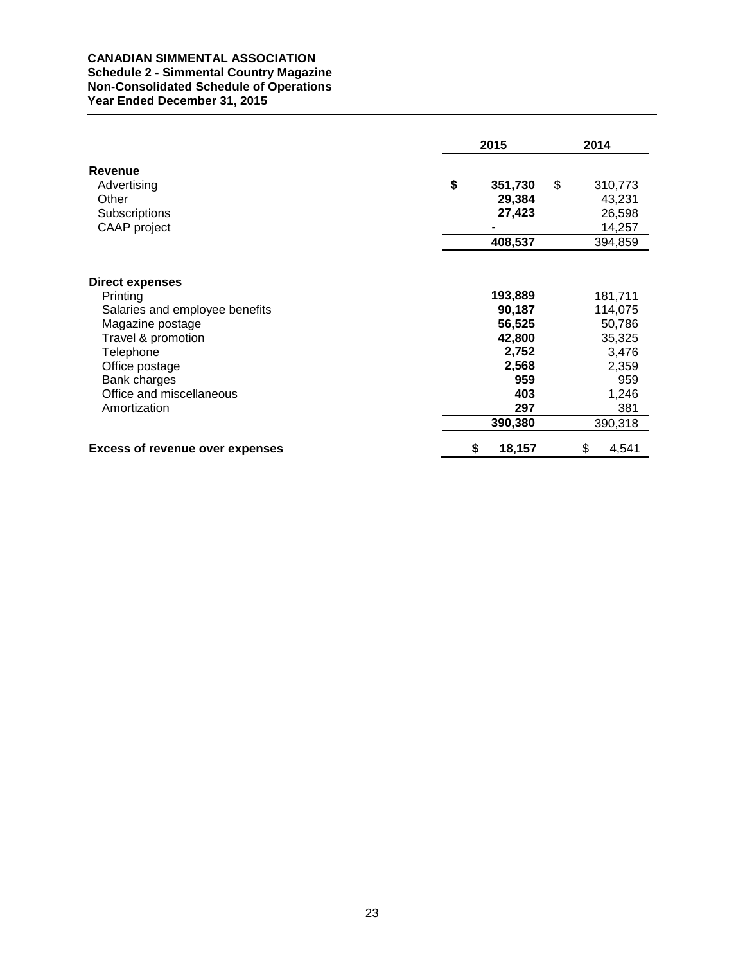# **CANADIAN SIMMENTAL ASSOCIATION Schedule 2 - Simmental Country Magazine Non-Consolidated Schedule of Operations Year Ended December 31, 2015**

|                                                                                                                             |    | 2015                                           | 2014                                            |
|-----------------------------------------------------------------------------------------------------------------------------|----|------------------------------------------------|-------------------------------------------------|
| Revenue<br>Advertising<br>Other<br>Subscriptions<br>CAAP project                                                            | \$ | 351,730<br>29,384<br>27,423                    | \$<br>310,773<br>43,231<br>26,598<br>14,257     |
|                                                                                                                             |    | 408,537                                        | 394,859                                         |
| <b>Direct expenses</b><br>Printing<br>Salaries and employee benefits<br>Magazine postage<br>Travel & promotion<br>Telephone |    | 193,889<br>90,187<br>56,525<br>42,800<br>2,752 | 181,711<br>114,075<br>50,786<br>35,325<br>3,476 |
| Office postage<br>Bank charges<br>Office and miscellaneous<br>Amortization                                                  |    | 2,568<br>959<br>403<br>297<br>390,380          | 2,359<br>959<br>1,246<br>381<br>390,318         |
| <b>Excess of revenue over expenses</b>                                                                                      | S  | 18,157                                         | \$<br>4,541                                     |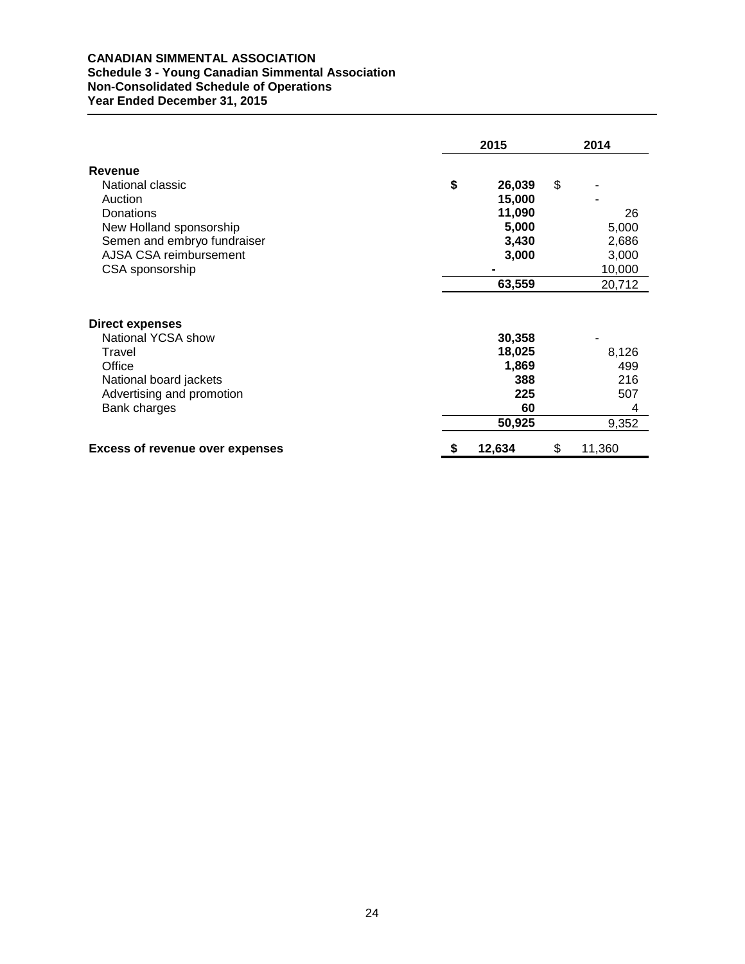# **CANADIAN SIMMENTAL ASSOCIATION Schedule 3 - Young Canadian Simmental Association Non-Consolidated Schedule of Operations Year Ended December 31, 2015**

|                                                           | 2015 |                           |    | 2014         |  |  |
|-----------------------------------------------------------|------|---------------------------|----|--------------|--|--|
| <b>Revenue</b>                                            |      |                           |    |              |  |  |
| National classic                                          | \$   | 26,039                    | \$ |              |  |  |
| Auction                                                   |      | 15,000                    |    |              |  |  |
| Donations                                                 |      | 11,090                    |    | 26           |  |  |
| New Holland sponsorship                                   |      | 5,000                     |    | 5,000        |  |  |
| Semen and embryo fundraiser                               |      | 3,430                     |    | 2,686        |  |  |
| AJSA CSA reimbursement                                    |      | 3,000                     |    | 3,000        |  |  |
| CSA sponsorship                                           |      |                           |    | 10,000       |  |  |
|                                                           |      | 63,559                    |    | 20,712       |  |  |
| Direct expenses<br>National YCSA show<br>Travel<br>Office |      | 30,358<br>18,025<br>1,869 |    | 8,126<br>499 |  |  |
| National board jackets                                    |      | 388                       |    | 216          |  |  |
| Advertising and promotion                                 |      | 225                       |    | 507          |  |  |
| Bank charges                                              |      | 60                        |    | 4            |  |  |
|                                                           |      | 50,925                    |    | 9,352        |  |  |
| <b>Excess of revenue over expenses</b>                    |      | 12,634                    | \$ | 11,360       |  |  |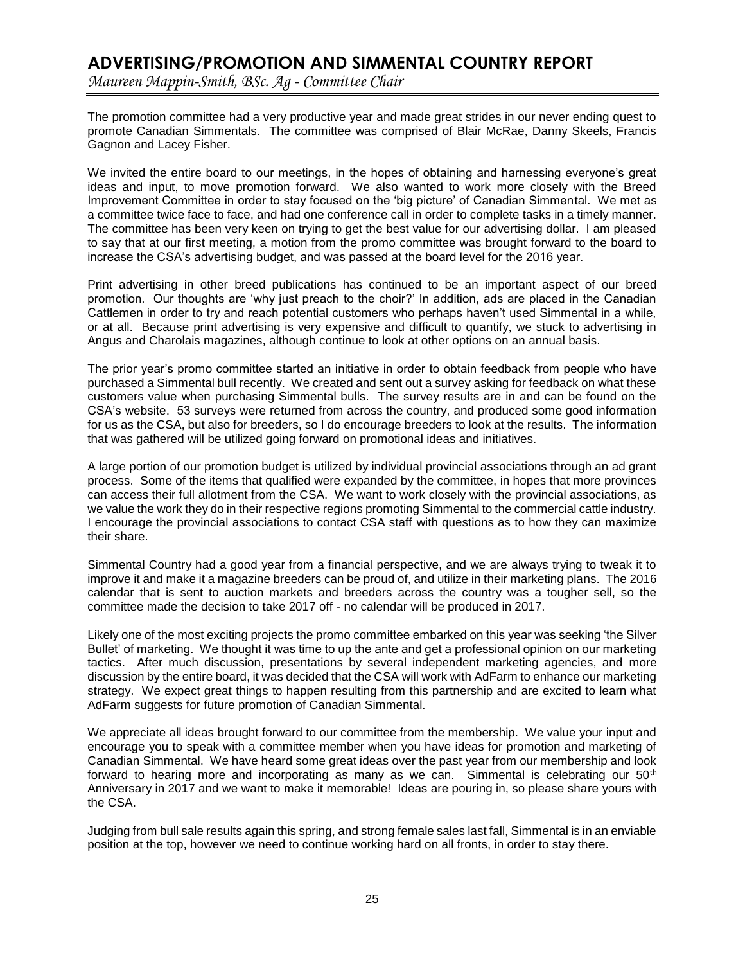# **ADVERTISING/PROMOTION AND SIMMENTAL COUNTRY REPORT**

*Maureen Mappin-Smith, BSc. Ag - Committee Chair*

The promotion committee had a very productive year and made great strides in our never ending quest to promote Canadian Simmentals. The committee was comprised of Blair McRae, Danny Skeels, Francis Gagnon and Lacey Fisher.

We invited the entire board to our meetings, in the hopes of obtaining and harnessing everyone's great ideas and input, to move promotion forward. We also wanted to work more closely with the Breed Improvement Committee in order to stay focused on the 'big picture' of Canadian Simmental. We met as a committee twice face to face, and had one conference call in order to complete tasks in a timely manner. The committee has been very keen on trying to get the best value for our advertising dollar. I am pleased to say that at our first meeting, a motion from the promo committee was brought forward to the board to increase the CSA's advertising budget, and was passed at the board level for the 2016 year.

Print advertising in other breed publications has continued to be an important aspect of our breed promotion. Our thoughts are 'why just preach to the choir?' In addition, ads are placed in the Canadian Cattlemen in order to try and reach potential customers who perhaps haven't used Simmental in a while, or at all. Because print advertising is very expensive and difficult to quantify, we stuck to advertising in Angus and Charolais magazines, although continue to look at other options on an annual basis.

The prior year's promo committee started an initiative in order to obtain feedback from people who have purchased a Simmental bull recently. We created and sent out a survey asking for feedback on what these customers value when purchasing Simmental bulls. The survey results are in and can be found on the CSA's website. 53 surveys were returned from across the country, and produced some good information for us as the CSA, but also for breeders, so I do encourage breeders to look at the results. The information that was gathered will be utilized going forward on promotional ideas and initiatives.

A large portion of our promotion budget is utilized by individual provincial associations through an ad grant process. Some of the items that qualified were expanded by the committee, in hopes that more provinces can access their full allotment from the CSA. We want to work closely with the provincial associations, as we value the work they do in their respective regions promoting Simmental to the commercial cattle industry. I encourage the provincial associations to contact CSA staff with questions as to how they can maximize their share.

Simmental Country had a good year from a financial perspective, and we are always trying to tweak it to improve it and make it a magazine breeders can be proud of, and utilize in their marketing plans. The 2016 calendar that is sent to auction markets and breeders across the country was a tougher sell, so the committee made the decision to take 2017 off - no calendar will be produced in 2017.

Likely one of the most exciting projects the promo committee embarked on this year was seeking 'the Silver Bullet' of marketing. We thought it was time to up the ante and get a professional opinion on our marketing tactics. After much discussion, presentations by several independent marketing agencies, and more discussion by the entire board, it was decided that the CSA will work with AdFarm to enhance our marketing strategy. We expect great things to happen resulting from this partnership and are excited to learn what AdFarm suggests for future promotion of Canadian Simmental.

We appreciate all ideas brought forward to our committee from the membership. We value your input and encourage you to speak with a committee member when you have ideas for promotion and marketing of Canadian Simmental. We have heard some great ideas over the past year from our membership and look forward to hearing more and incorporating as many as we can. Simmental is celebrating our 50<sup>th</sup> Anniversary in 2017 and we want to make it memorable! Ideas are pouring in, so please share yours with the CSA.

Judging from bull sale results again this spring, and strong female sales last fall, Simmental is in an enviable position at the top, however we need to continue working hard on all fronts, in order to stay there.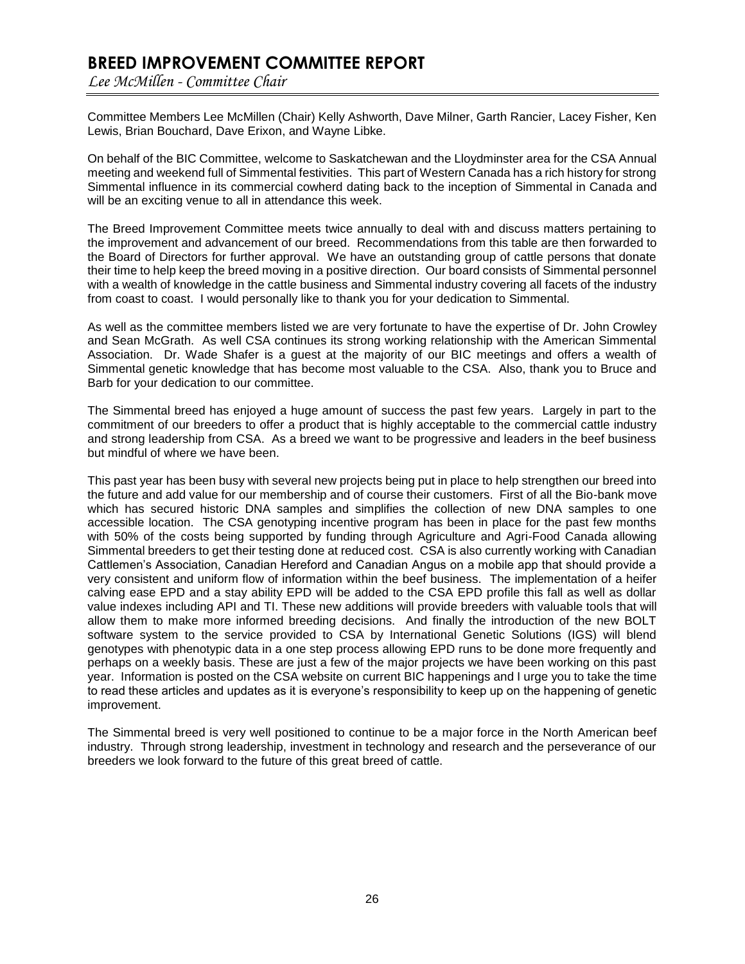# **BREED IMPROVEMENT COMMITTEE REPORT**

*Lee McMillen - Committee Chair*

Committee Members Lee McMillen (Chair) Kelly Ashworth, Dave Milner, Garth Rancier, Lacey Fisher, Ken Lewis, Brian Bouchard, Dave Erixon, and Wayne Libke.

On behalf of the BIC Committee, welcome to Saskatchewan and the Lloydminster area for the CSA Annual meeting and weekend full of Simmental festivities. This part of Western Canada has a rich history for strong Simmental influence in its commercial cowherd dating back to the inception of Simmental in Canada and will be an exciting venue to all in attendance this week.

The Breed Improvement Committee meets twice annually to deal with and discuss matters pertaining to the improvement and advancement of our breed. Recommendations from this table are then forwarded to the Board of Directors for further approval. We have an outstanding group of cattle persons that donate their time to help keep the breed moving in a positive direction. Our board consists of Simmental personnel with a wealth of knowledge in the cattle business and Simmental industry covering all facets of the industry from coast to coast. I would personally like to thank you for your dedication to Simmental.

As well as the committee members listed we are very fortunate to have the expertise of Dr. John Crowley and Sean McGrath. As well CSA continues its strong working relationship with the American Simmental Association. Dr. Wade Shafer is a guest at the majority of our BIC meetings and offers a wealth of Simmental genetic knowledge that has become most valuable to the CSA. Also, thank you to Bruce and Barb for your dedication to our committee.

The Simmental breed has enjoyed a huge amount of success the past few years. Largely in part to the commitment of our breeders to offer a product that is highly acceptable to the commercial cattle industry and strong leadership from CSA. As a breed we want to be progressive and leaders in the beef business but mindful of where we have been.

This past year has been busy with several new projects being put in place to help strengthen our breed into the future and add value for our membership and of course their customers. First of all the Bio-bank move which has secured historic DNA samples and simplifies the collection of new DNA samples to one accessible location. The CSA genotyping incentive program has been in place for the past few months with 50% of the costs being supported by funding through Agriculture and Agri-Food Canada allowing Simmental breeders to get their testing done at reduced cost. CSA is also currently working with Canadian Cattlemen's Association, Canadian Hereford and Canadian Angus on a mobile app that should provide a very consistent and uniform flow of information within the beef business. The implementation of a heifer calving ease EPD and a stay ability EPD will be added to the CSA EPD profile this fall as well as dollar value indexes including API and TI. These new additions will provide breeders with valuable tools that will allow them to make more informed breeding decisions. And finally the introduction of the new BOLT software system to the service provided to CSA by International Genetic Solutions (IGS) will blend genotypes with phenotypic data in a one step process allowing EPD runs to be done more frequently and perhaps on a weekly basis. These are just a few of the major projects we have been working on this past year. Information is posted on the CSA website on current BIC happenings and I urge you to take the time to read these articles and updates as it is everyone's responsibility to keep up on the happening of genetic improvement.

The Simmental breed is very well positioned to continue to be a major force in the North American beef industry. Through strong leadership, investment in technology and research and the perseverance of our breeders we look forward to the future of this great breed of cattle.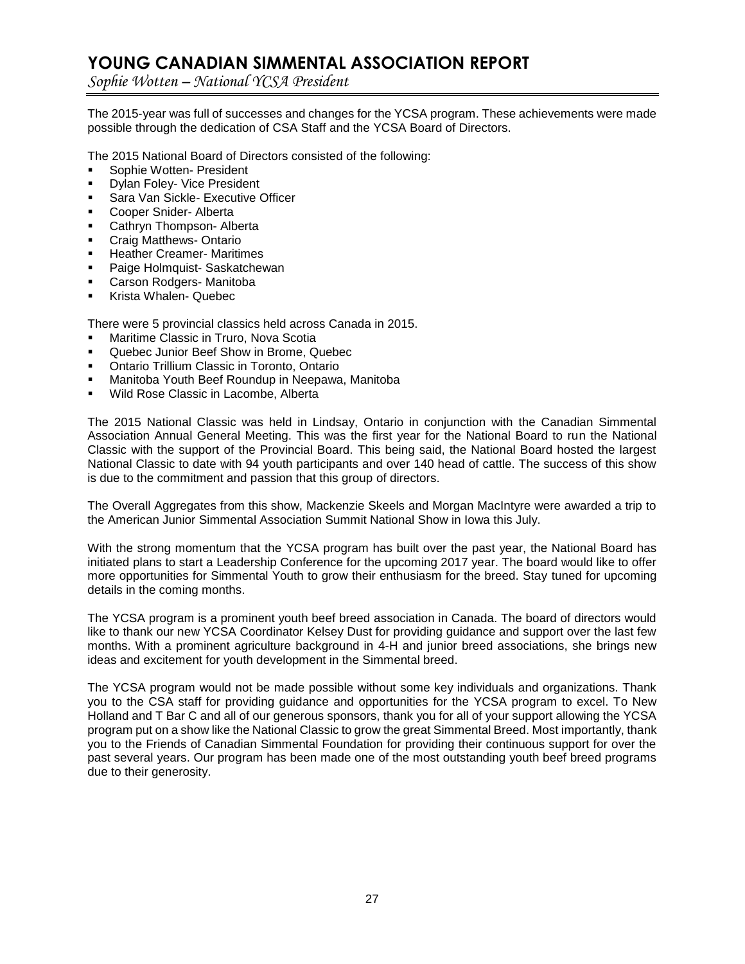# **YOUNG CANADIAN SIMMENTAL ASSOCIATION REPORT**

*Sophie Wotten – National YCSA President*

The 2015-year was full of successes and changes for the YCSA program. These achievements were made possible through the dedication of CSA Staff and the YCSA Board of Directors.

The 2015 National Board of Directors consisted of the following:

- Sophie Wotten- President
- Dylan Foley- Vice President
- Sara Van Sickle- Executive Officer
- Cooper Snider- Alberta
- Cathryn Thompson- Alberta
- Craig Matthews- Ontario
- Heather Creamer- Maritimes
- Paige Holmquist- Saskatchewan
- Carson Rodgers- Manitoba
- Krista Whalen- Quebec

There were 5 provincial classics held across Canada in 2015.

- Maritime Classic in Truro, Nova Scotia
- Quebec Junior Beef Show in Brome, Quebec
- Ontario Trillium Classic in Toronto, Ontario
- Manitoba Youth Beef Roundup in Neepawa, Manitoba
- Wild Rose Classic in Lacombe, Alberta

The 2015 National Classic was held in Lindsay, Ontario in conjunction with the Canadian Simmental Association Annual General Meeting. This was the first year for the National Board to run the National Classic with the support of the Provincial Board. This being said, the National Board hosted the largest National Classic to date with 94 youth participants and over 140 head of cattle. The success of this show is due to the commitment and passion that this group of directors.

The Overall Aggregates from this show, Mackenzie Skeels and Morgan MacIntyre were awarded a trip to the American Junior Simmental Association Summit National Show in Iowa this July.

With the strong momentum that the YCSA program has built over the past year, the National Board has initiated plans to start a Leadership Conference for the upcoming 2017 year. The board would like to offer more opportunities for Simmental Youth to grow their enthusiasm for the breed. Stay tuned for upcoming details in the coming months.

The YCSA program is a prominent youth beef breed association in Canada. The board of directors would like to thank our new YCSA Coordinator Kelsey Dust for providing guidance and support over the last few months. With a prominent agriculture background in 4-H and junior breed associations, she brings new ideas and excitement for youth development in the Simmental breed.

The YCSA program would not be made possible without some key individuals and organizations. Thank you to the CSA staff for providing guidance and opportunities for the YCSA program to excel. To New Holland and T Bar C and all of our generous sponsors, thank you for all of your support allowing the YCSA program put on a show like the National Classic to grow the great Simmental Breed. Most importantly, thank you to the Friends of Canadian Simmental Foundation for providing their continuous support for over the past several years. Our program has been made one of the most outstanding youth beef breed programs due to their generosity.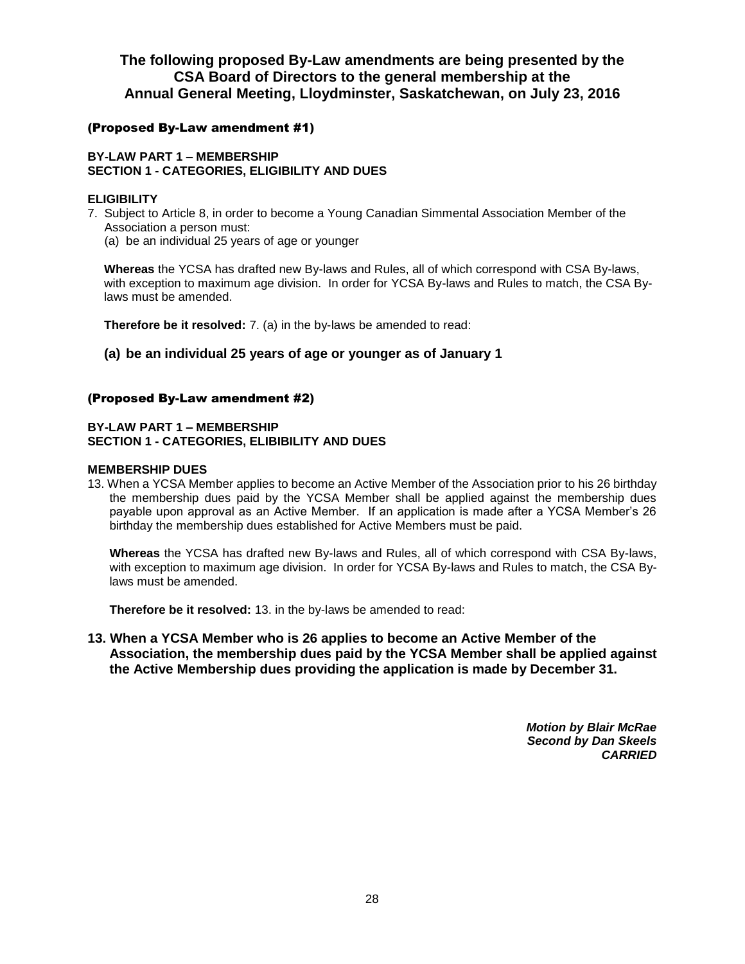# **The following proposed By-Law amendments are being presented by the CSA Board of Directors to the general membership at the Annual General Meeting, Lloydminster, Saskatchewan, on July 23, 2016**

# (Proposed By-Law amendment #1)

# **BY-LAW PART 1 – MEMBERSHIP SECTION 1 - CATEGORIES, ELIGIBILITY AND DUES**

# **ELIGIBILITY**

7. Subject to Article 8, in order to become a Young Canadian Simmental Association Member of the Association a person must:

(a) be an individual 25 years of age or younger

**Whereas** the YCSA has drafted new By-laws and Rules, all of which correspond with CSA By-laws, with exception to maximum age division. In order for YCSA By-laws and Rules to match, the CSA Bylaws must be amended.

**Therefore be it resolved:** 7. (a) in the by-laws be amended to read:

# **(a) be an individual 25 years of age or younger as of January 1**

# (Proposed By-Law amendment #2)

# **BY-LAW PART 1 – MEMBERSHIP SECTION 1 - CATEGORIES, ELIBIBILITY AND DUES**

## **MEMBERSHIP DUES**

13. When a YCSA Member applies to become an Active Member of the Association prior to his 26 birthday the membership dues paid by the YCSA Member shall be applied against the membership dues payable upon approval as an Active Member. If an application is made after a YCSA Member's 26 birthday the membership dues established for Active Members must be paid.

**Whereas** the YCSA has drafted new By-laws and Rules, all of which correspond with CSA By-laws, with exception to maximum age division. In order for YCSA By-laws and Rules to match, the CSA Bylaws must be amended.

**Therefore be it resolved:** 13. in the by-laws be amended to read:

**13. When a YCSA Member who is 26 applies to become an Active Member of the Association, the membership dues paid by the YCSA Member shall be applied against the Active Membership dues providing the application is made by December 31.**

> *Motion by Blair McRae Second by Dan Skeels CARRIED*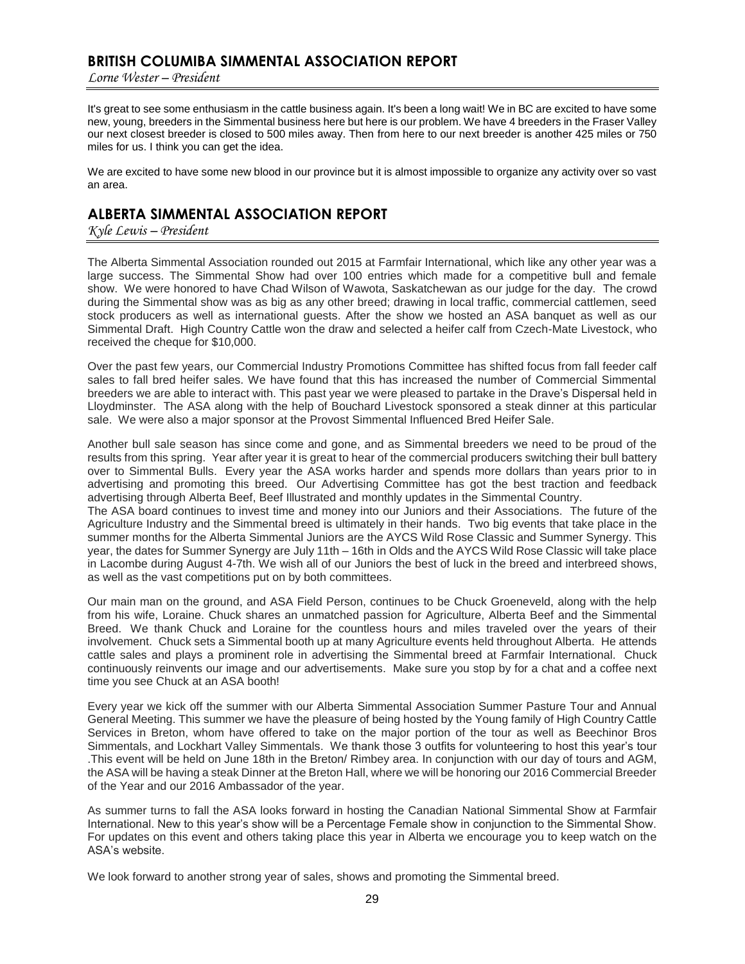# **BRITISH COLUMIBA SIMMENTAL ASSOCIATION REPORT**

*Lorne Wester – President*

It's great to see some enthusiasm in the cattle business again. It's been a long wait! We in BC are excited to have some new, young, breeders in the Simmental business here but here is our problem. We have 4 breeders in the Fraser Valley our next closest breeder is closed to 500 miles away. Then from here to our next breeder is another 425 miles or 750 miles for us. I think you can get the idea.

We are excited to have some new blood in our province but it is almost impossible to organize any activity over so vast an area.

# **ALBERTA SIMMENTAL ASSOCIATION REPORT**

*Kyle Lewis – President* 

The Alberta Simmental Association rounded out 2015 at Farmfair International, which like any other year was a large success. The Simmental Show had over 100 entries which made for a competitive bull and female show. We were honored to have Chad Wilson of Wawota, Saskatchewan as our judge for the day. The crowd during the Simmental show was as big as any other breed; drawing in local traffic, commercial cattlemen, seed stock producers as well as international guests. After the show we hosted an ASA banquet as well as our Simmental Draft. High Country Cattle won the draw and selected a heifer calf from Czech-Mate Livestock, who received the cheque for \$10,000.

Over the past few years, our Commercial Industry Promotions Committee has shifted focus from fall feeder calf sales to fall bred heifer sales. We have found that this has increased the number of Commercial Simmental breeders we are able to interact with. This past year we were pleased to partake in the Drave's Dispersal held in Lloydminster. The ASA along with the help of Bouchard Livestock sponsored a steak dinner at this particular sale. We were also a major sponsor at the Provost Simmental Influenced Bred Heifer Sale.

Another bull sale season has since come and gone, and as Simmental breeders we need to be proud of the results from this spring. Year after year it is great to hear of the commercial producers switching their bull battery over to Simmental Bulls. Every year the ASA works harder and spends more dollars than years prior to in advertising and promoting this breed. Our Advertising Committee has got the best traction and feedback advertising through Alberta Beef, Beef Illustrated and monthly updates in the Simmental Country.

The ASA board continues to invest time and money into our Juniors and their Associations. The future of the Agriculture Industry and the Simmental breed is ultimately in their hands. Two big events that take place in the summer months for the Alberta Simmental Juniors are the AYCS Wild Rose Classic and Summer Synergy. This year, the dates for Summer Synergy are July 11th – 16th in Olds and the AYCS Wild Rose Classic will take place in Lacombe during August 4-7th. We wish all of our Juniors the best of luck in the breed and interbreed shows, as well as the vast competitions put on by both committees.

Our main man on the ground, and ASA Field Person, continues to be Chuck Groeneveld, along with the help from his wife, Loraine. Chuck shares an unmatched passion for Agriculture, Alberta Beef and the Simmental Breed. We thank Chuck and Loraine for the countless hours and miles traveled over the years of their involvement. Chuck sets a Simmental booth up at many Agriculture events held throughout Alberta. He attends cattle sales and plays a prominent role in advertising the Simmental breed at Farmfair International. Chuck continuously reinvents our image and our advertisements. Make sure you stop by for a chat and a coffee next time you see Chuck at an ASA booth!

Every year we kick off the summer with our Alberta Simmental Association Summer Pasture Tour and Annual General Meeting. This summer we have the pleasure of being hosted by the Young family of High Country Cattle Services in Breton, whom have offered to take on the major portion of the tour as well as Beechinor Bros Simmentals, and Lockhart Valley Simmentals. We thank those 3 outfits for volunteering to host this year's tour .This event will be held on June 18th in the Breton/ Rimbey area. In conjunction with our day of tours and AGM, the ASA will be having a steak Dinner at the Breton Hall, where we will be honoring our 2016 Commercial Breeder of the Year and our 2016 Ambassador of the year.

As summer turns to fall the ASA looks forward in hosting the Canadian National Simmental Show at Farmfair International. New to this year's show will be a Percentage Female show in conjunction to the Simmental Show. For updates on this event and others taking place this year in Alberta we encourage you to keep watch on the ASA's website.

We look forward to another strong year of sales, shows and promoting the Simmental breed.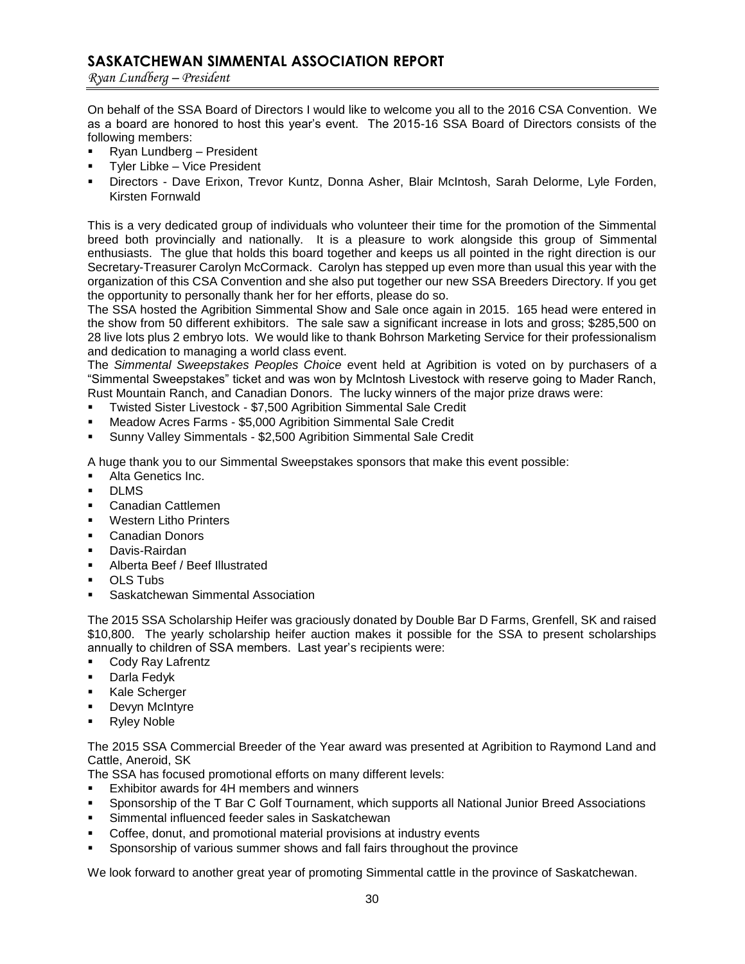# **SASKATCHEWAN SIMMENTAL ASSOCIATION REPORT**

*Ryan Lundberg – President*

On behalf of the SSA Board of Directors I would like to welcome you all to the 2016 CSA Convention. We as a board are honored to host this year's event. The 2015-16 SSA Board of Directors consists of the following members:

- Ryan Lundberg President
- Tyler Libke Vice President
- Directors Dave Erixon, Trevor Kuntz, Donna Asher, Blair McIntosh, Sarah Delorme, Lyle Forden, Kirsten Fornwald

This is a very dedicated group of individuals who volunteer their time for the promotion of the Simmental breed both provincially and nationally. It is a pleasure to work alongside this group of Simmental enthusiasts. The glue that holds this board together and keeps us all pointed in the right direction is our Secretary-Treasurer Carolyn McCormack. Carolyn has stepped up even more than usual this year with the organization of this CSA Convention and she also put together our new SSA Breeders Directory. If you get the opportunity to personally thank her for her efforts, please do so.

The SSA hosted the Agribition Simmental Show and Sale once again in 2015. 165 head were entered in the show from 50 different exhibitors. The sale saw a significant increase in lots and gross; \$285,500 on 28 live lots plus 2 embryo lots. We would like to thank Bohrson Marketing Service for their professionalism and dedication to managing a world class event.

The *Simmental Sweepstakes Peoples Choice* event held at Agribition is voted on by purchasers of a "Simmental Sweepstakes" ticket and was won by McIntosh Livestock with reserve going to Mader Ranch, Rust Mountain Ranch, and Canadian Donors. The lucky winners of the major prize draws were:

- Twisted Sister Livestock \$7,500 Agribition Simmental Sale Credit
- Meadow Acres Farms \$5,000 Agribition Simmental Sale Credit
- Sunny Valley Simmentals \$2,500 Agribition Simmental Sale Credit

A huge thank you to our Simmental Sweepstakes sponsors that make this event possible:

- Alta Genetics Inc.
- DLMS
- Canadian Cattlemen
- Western Litho Printers
- Canadian Donors
- Davis-Rairdan
- Alberta Beef / Beef Illustrated
- OLS Tubs
- Saskatchewan Simmental Association

The 2015 SSA Scholarship Heifer was graciously donated by Double Bar D Farms, Grenfell, SK and raised \$10,800. The yearly scholarship heifer auction makes it possible for the SSA to present scholarships annually to children of SSA members. Last year's recipients were:

- Cody Ray Lafrentz
- **Darla Fedvk**
- **Kale Scherger**
- Devyn McIntyre
- Ryley Noble

The 2015 SSA Commercial Breeder of the Year award was presented at Agribition to Raymond Land and Cattle, Aneroid, SK

The SSA has focused promotional efforts on many different levels:

- Exhibitor awards for 4H members and winners
- Sponsorship of the T Bar C Golf Tournament, which supports all National Junior Breed Associations
- Simmental influenced feeder sales in Saskatchewan
- Coffee, donut, and promotional material provisions at industry events
- Sponsorship of various summer shows and fall fairs throughout the province

We look forward to another great year of promoting Simmental cattle in the province of Saskatchewan.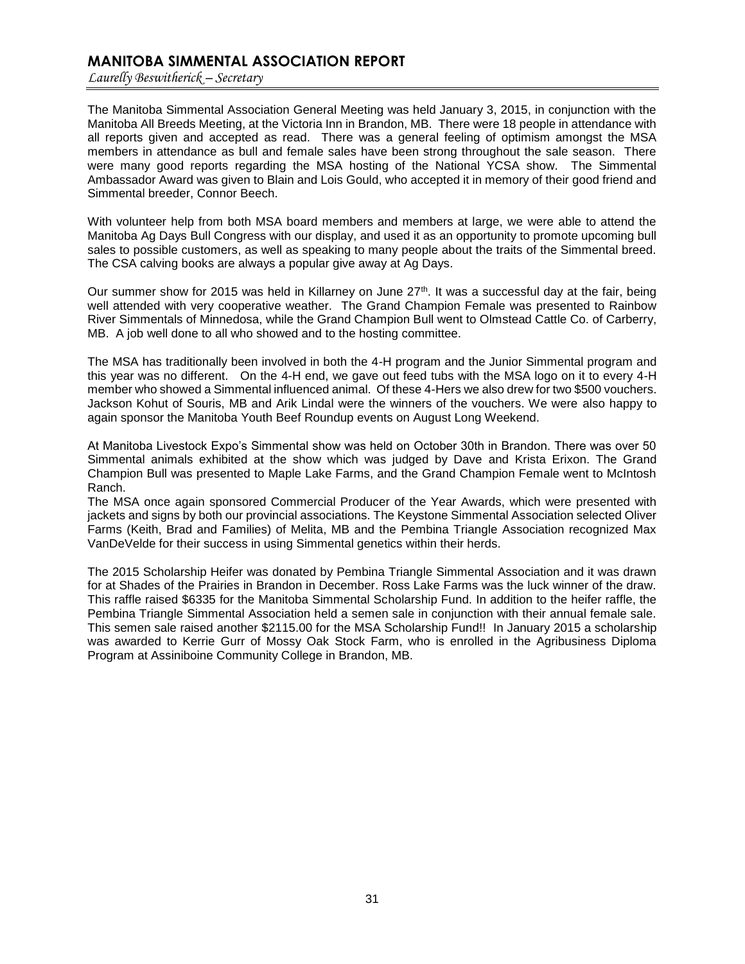# **MANITOBA SIMMENTAL ASSOCIATION REPORT**

*Laurelly Beswitherick – Secretary*

The Manitoba Simmental Association General Meeting was held January 3, 2015, in conjunction with the Manitoba All Breeds Meeting, at the Victoria Inn in Brandon, MB. There were 18 people in attendance with all reports given and accepted as read. There was a general feeling of optimism amongst the MSA members in attendance as bull and female sales have been strong throughout the sale season. There were many good reports regarding the MSA hosting of the National YCSA show. The Simmental Ambassador Award was given to Blain and Lois Gould, who accepted it in memory of their good friend and Simmental breeder, Connor Beech.

With volunteer help from both MSA board members and members at large, we were able to attend the Manitoba Ag Days Bull Congress with our display, and used it as an opportunity to promote upcoming bull sales to possible customers, as well as speaking to many people about the traits of the Simmental breed. The CSA calving books are always a popular give away at Ag Days.

Our summer show for 2015 was held in Killarney on June 27<sup>th</sup>. It was a successful day at the fair, being well attended with very cooperative weather. The Grand Champion Female was presented to Rainbow River Simmentals of Minnedosa, while the Grand Champion Bull went to Olmstead Cattle Co. of Carberry, MB. A job well done to all who showed and to the hosting committee.

The MSA has traditionally been involved in both the 4-H program and the Junior Simmental program and this year was no different. On the 4-H end, we gave out feed tubs with the MSA logo on it to every 4-H member who showed a Simmental influenced animal. Of these 4-Hers we also drew for two \$500 vouchers. Jackson Kohut of Souris, MB and Arik Lindal were the winners of the vouchers. We were also happy to again sponsor the Manitoba Youth Beef Roundup events on August Long Weekend.

At Manitoba Livestock Expo's Simmental show was held on October 30th in Brandon. There was over 50 Simmental animals exhibited at the show which was judged by Dave and Krista Erixon. The Grand Champion Bull was presented to Maple Lake Farms, and the Grand Champion Female went to McIntosh Ranch.

The MSA once again sponsored Commercial Producer of the Year Awards, which were presented with jackets and signs by both our provincial associations. The Keystone Simmental Association selected Oliver Farms (Keith, Brad and Families) of Melita, MB and the Pembina Triangle Association recognized Max VanDeVelde for their success in using Simmental genetics within their herds.

The 2015 Scholarship Heifer was donated by Pembina Triangle Simmental Association and it was drawn for at Shades of the Prairies in Brandon in December. Ross Lake Farms was the luck winner of the draw. This raffle raised \$6335 for the Manitoba Simmental Scholarship Fund. In addition to the heifer raffle, the Pembina Triangle Simmental Association held a semen sale in conjunction with their annual female sale. This semen sale raised another \$2115.00 for the MSA Scholarship Fund!! In January 2015 a scholarship was awarded to Kerrie Gurr of Mossy Oak Stock Farm, who is enrolled in the Agribusiness Diploma Program at Assiniboine Community College in Brandon, MB.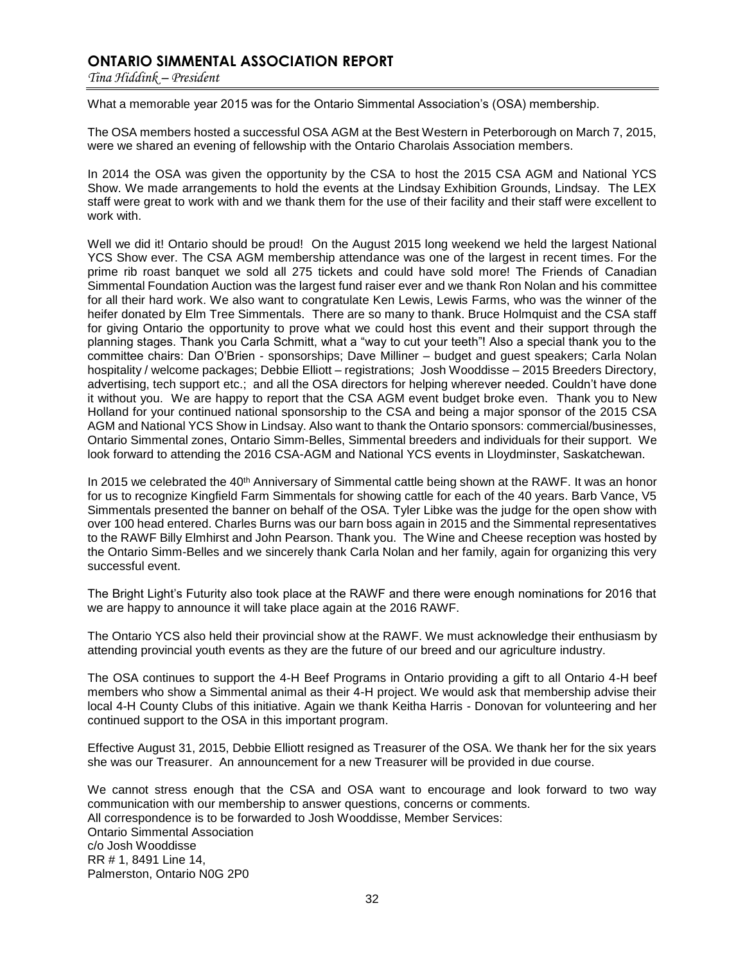# **ONTARIO SIMMENTAL ASSOCIATION REPORT**

*Tina Hiddink – President*

What a memorable year 2015 was for the Ontario Simmental Association's (OSA) membership.

The OSA members hosted a successful OSA AGM at the Best Western in Peterborough on March 7, 2015, were we shared an evening of fellowship with the Ontario Charolais Association members.

In 2014 the OSA was given the opportunity by the CSA to host the 2015 CSA AGM and National YCS Show. We made arrangements to hold the events at the Lindsay Exhibition Grounds, Lindsay. The LEX staff were great to work with and we thank them for the use of their facility and their staff were excellent to work with.

Well we did it! Ontario should be proud! On the August 2015 long weekend we held the largest National YCS Show ever. The CSA AGM membership attendance was one of the largest in recent times. For the prime rib roast banquet we sold all 275 tickets and could have sold more! The Friends of Canadian Simmental Foundation Auction was the largest fund raiser ever and we thank Ron Nolan and his committee for all their hard work. We also want to congratulate Ken Lewis, Lewis Farms, who was the winner of the heifer donated by Elm Tree Simmentals. There are so many to thank. Bruce Holmquist and the CSA staff for giving Ontario the opportunity to prove what we could host this event and their support through the planning stages. Thank you Carla Schmitt, what a "way to cut your teeth"! Also a special thank you to the committee chairs: Dan O'Brien - sponsorships; Dave Milliner – budget and guest speakers; Carla Nolan hospitality / welcome packages; Debbie Elliott – registrations; Josh Wooddisse – 2015 Breeders Directory, advertising, tech support etc.; and all the OSA directors for helping wherever needed. Couldn't have done it without you. We are happy to report that the CSA AGM event budget broke even. Thank you to New Holland for your continued national sponsorship to the CSA and being a major sponsor of the 2015 CSA AGM and National YCS Show in Lindsay. Also want to thank the Ontario sponsors: commercial/businesses, Ontario Simmental zones, Ontario Simm-Belles, Simmental breeders and individuals for their support. We look forward to attending the 2016 CSA-AGM and National YCS events in Lloydminster, Saskatchewan.

In 2015 we celebrated the 40<sup>th</sup> Anniversary of Simmental cattle being shown at the RAWF. It was an honor for us to recognize Kingfield Farm Simmentals for showing cattle for each of the 40 years. Barb Vance, V5 Simmentals presented the banner on behalf of the OSA. Tyler Libke was the judge for the open show with over 100 head entered. Charles Burns was our barn boss again in 2015 and the Simmental representatives to the RAWF Billy Elmhirst and John Pearson. Thank you. The Wine and Cheese reception was hosted by the Ontario Simm-Belles and we sincerely thank Carla Nolan and her family, again for organizing this very successful event.

The Bright Light's Futurity also took place at the RAWF and there were enough nominations for 2016 that we are happy to announce it will take place again at the 2016 RAWF.

The Ontario YCS also held their provincial show at the RAWF. We must acknowledge their enthusiasm by attending provincial youth events as they are the future of our breed and our agriculture industry.

The OSA continues to support the 4-H Beef Programs in Ontario providing a gift to all Ontario 4-H beef members who show a Simmental animal as their 4-H project. We would ask that membership advise their local 4-H County Clubs of this initiative. Again we thank Keitha Harris - Donovan for volunteering and her continued support to the OSA in this important program.

Effective August 31, 2015, Debbie Elliott resigned as Treasurer of the OSA. We thank her for the six years she was our Treasurer. An announcement for a new Treasurer will be provided in due course.

We cannot stress enough that the CSA and OSA want to encourage and look forward to two way communication with our membership to answer questions, concerns or comments. All correspondence is to be forwarded to Josh Wooddisse, Member Services: Ontario Simmental Association c/o Josh Wooddisse RR # 1, 8491 Line 14, Palmerston, Ontario N0G 2P0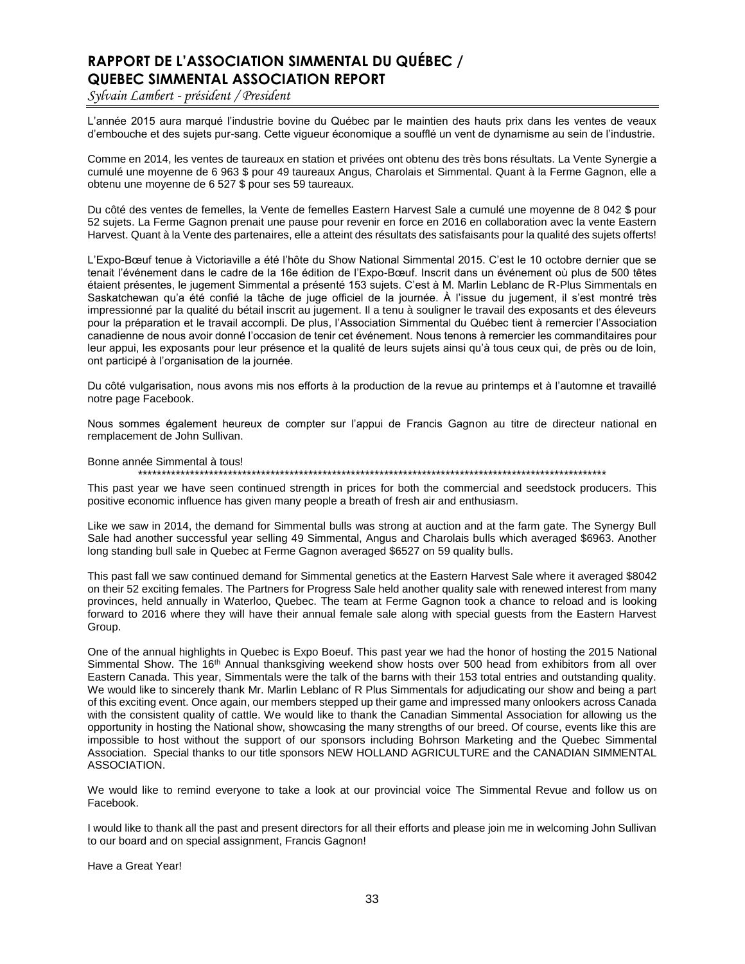# **RAPPORT DE L'ASSOCIATION SIMMENTAL DU QUÉBEC / QUEBEC SIMMENTAL ASSOCIATION REPORT**

*Sylvain Lambert - président / President*

L'année 2015 aura marqué l'industrie bovine du Québec par le maintien des hauts prix dans les ventes de veaux d'embouche et des sujets pur-sang. Cette vigueur économique a soufflé un vent de dynamisme au sein de l'industrie.

Comme en 2014, les ventes de taureaux en station et privées ont obtenu des très bons résultats. La Vente Synergie a cumulé une moyenne de 6 963 \$ pour 49 taureaux Angus, Charolais et Simmental. Quant à la Ferme Gagnon, elle a obtenu une moyenne de 6 527 \$ pour ses 59 taureaux.

Du côté des ventes de femelles, la Vente de femelles Eastern Harvest Sale a cumulé une moyenne de 8 042 \$ pour 52 sujets. La Ferme Gagnon prenait une pause pour revenir en force en 2016 en collaboration avec la vente Eastern Harvest. Quant à la Vente des partenaires, elle a atteint des résultats des satisfaisants pour la qualité des sujets offerts!

L'Expo-Bœuf tenue à Victoriaville a été l'hôte du Show National Simmental 2015. C'est le 10 octobre dernier que se tenait l'événement dans le cadre de la 16e édition de l'Expo-Bœuf. Inscrit dans un événement où plus de 500 têtes étaient présentes, le jugement Simmental a présenté 153 sujets. C'est à M. Marlin Leblanc de R-Plus Simmentals en Saskatchewan qu'a été confié la tâche de juge officiel de la journée. À l'issue du jugement, il s'est montré très impressionné par la qualité du bétail inscrit au jugement. Il a tenu à souligner le travail des exposants et des éleveurs pour la préparation et le travail accompli. De plus, l'Association Simmental du Québec tient à remercier l'Association canadienne de nous avoir donné l'occasion de tenir cet événement. Nous tenons à remercier les commanditaires pour leur appui, les exposants pour leur présence et la qualité de leurs sujets ainsi qu'à tous ceux qui, de près ou de loin, ont participé à l'organisation de la journée.

Du côté vulgarisation, nous avons mis nos efforts à la production de la revue au printemps et à l'automne et travaillé notre page Facebook.

Nous sommes également heureux de compter sur l'appui de Francis Gagnon au titre de directeur national en remplacement de John Sullivan.

Bonne année Simmental à tous!

\*\*\*\*\*\*\*\*\*\*\*\*\*\*\*\*\*\*\*\*\*\*\*\*\*\*\*\*\*\*\*\*\*\*\*\*\*\*\*\*\*\*\*\*\*\*\*\*\*\*\*\*\*\*\*\*\*\*\*\*\*\*\*\*\*\*\*\*\*\*\*\*\*\*\*\*\*\*\*\*\*\*\*\*\*\*\*\*\*\*\*\*\*\*\*\*\*\*\*

This past year we have seen continued strength in prices for both the commercial and seedstock producers. This positive economic influence has given many people a breath of fresh air and enthusiasm.

Like we saw in 2014, the demand for Simmental bulls was strong at auction and at the farm gate. The Synergy Bull Sale had another successful year selling 49 Simmental, Angus and Charolais bulls which averaged \$6963. Another long standing bull sale in Quebec at Ferme Gagnon averaged \$6527 on 59 quality bulls.

This past fall we saw continued demand for Simmental genetics at the Eastern Harvest Sale where it averaged \$8042 on their 52 exciting females. The Partners for Progress Sale held another quality sale with renewed interest from many provinces, held annually in Waterloo, Quebec. The team at Ferme Gagnon took a chance to reload and is looking forward to 2016 where they will have their annual female sale along with special guests from the Eastern Harvest Group.

One of the annual highlights in Quebec is Expo Boeuf. This past year we had the honor of hosting the 2015 National Simmental Show. The 16<sup>th</sup> Annual thanksgiving weekend show hosts over 500 head from exhibitors from all over Eastern Canada. This year, Simmentals were the talk of the barns with their 153 total entries and outstanding quality. We would like to sincerely thank Mr. Marlin Leblanc of R Plus Simmentals for adjudicating our show and being a part of this exciting event. Once again, our members stepped up their game and impressed many onlookers across Canada with the consistent quality of cattle. We would like to thank the Canadian Simmental Association for allowing us the opportunity in hosting the National show, showcasing the many strengths of our breed. Of course, events like this are impossible to host without the support of our sponsors including Bohrson Marketing and the Quebec Simmental Association. Special thanks to our title sponsors NEW HOLLAND AGRICULTURE and the CANADIAN SIMMENTAL ASSOCIATION.

We would like to remind everyone to take a look at our provincial voice The Simmental Revue and follow us on Facebook.

I would like to thank all the past and present directors for all their efforts and please join me in welcoming John Sullivan to our board and on special assignment, Francis Gagnon!

Have a Great Year!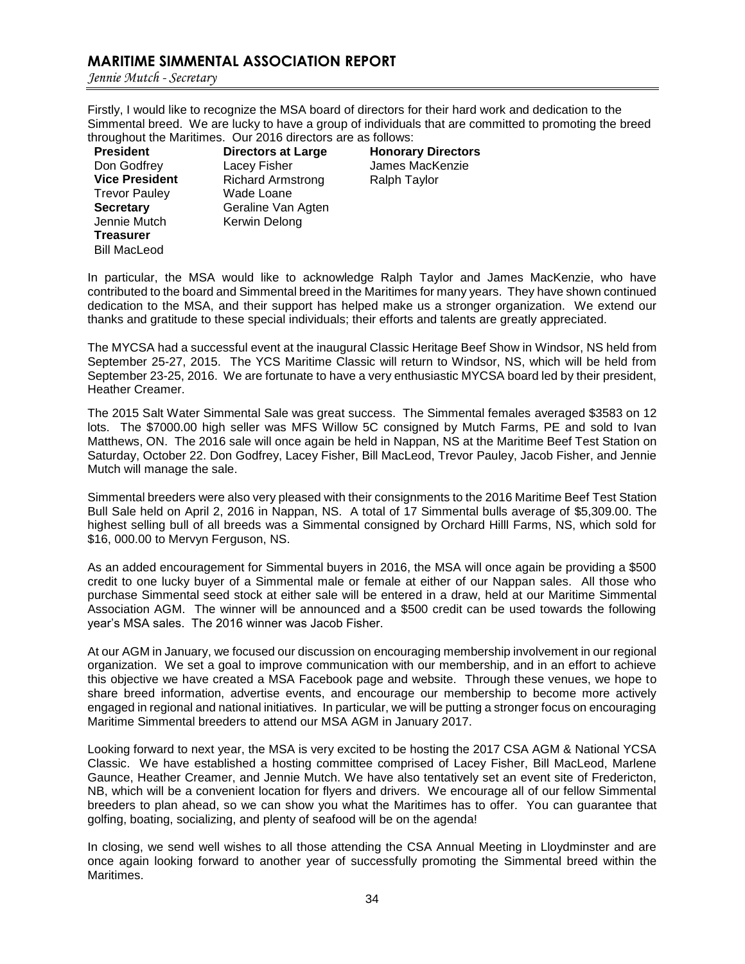# **MARITIME SIMMENTAL ASSOCIATION REPORT**

*Jennie Mutch - Secretary*

Firstly, I would like to recognize the MSA board of directors for their hard work and dedication to the Simmental breed. We are lucky to have a group of individuals that are committed to promoting the breed throughout the Maritimes. Our 2016 directors are as follows:

**President** Don Godfrey **Vice President** Trevor Pauley **Secretary** Jennie Mutch **Treasurer** Bill MacLeod

**Directors at Large**  Lacey Fisher Richard Armstrong Wade Loane Geraline Van Agten Kerwin Delong

**Honorary Directors** James MacKenzie Ralph Taylor

In particular, the MSA would like to acknowledge Ralph Taylor and James MacKenzie, who have contributed to the board and Simmental breed in the Maritimes for many years. They have shown continued dedication to the MSA, and their support has helped make us a stronger organization. We extend our thanks and gratitude to these special individuals; their efforts and talents are greatly appreciated.

The MYCSA had a successful event at the inaugural Classic Heritage Beef Show in Windsor, NS held from September 25-27, 2015. The YCS Maritime Classic will return to Windsor, NS, which will be held from September 23-25, 2016. We are fortunate to have a very enthusiastic MYCSA board led by their president, Heather Creamer.

The 2015 Salt Water Simmental Sale was great success. The Simmental females averaged \$3583 on 12 lots. The \$7000.00 high seller was MFS Willow 5C consigned by Mutch Farms, PE and sold to Ivan Matthews, ON. The 2016 sale will once again be held in Nappan, NS at the Maritime Beef Test Station on Saturday, October 22. Don Godfrey, Lacey Fisher, Bill MacLeod, Trevor Pauley, Jacob Fisher, and Jennie Mutch will manage the sale.

Simmental breeders were also very pleased with their consignments to the 2016 Maritime Beef Test Station Bull Sale held on April 2, 2016 in Nappan, NS. A total of 17 Simmental bulls average of \$5,309.00. The highest selling bull of all breeds was a Simmental consigned by Orchard Hilll Farms, NS, which sold for \$16, 000.00 to Mervyn Ferguson, NS.

As an added encouragement for Simmental buyers in 2016, the MSA will once again be providing a \$500 credit to one lucky buyer of a Simmental male or female at either of our Nappan sales. All those who purchase Simmental seed stock at either sale will be entered in a draw, held at our Maritime Simmental Association AGM. The winner will be announced and a \$500 credit can be used towards the following year's MSA sales. The 2016 winner was Jacob Fisher.

At our AGM in January, we focused our discussion on encouraging membership involvement in our regional organization. We set a goal to improve communication with our membership, and in an effort to achieve this objective we have created a MSA Facebook page and website. Through these venues, we hope to share breed information, advertise events, and encourage our membership to become more actively engaged in regional and national initiatives. In particular, we will be putting a stronger focus on encouraging Maritime Simmental breeders to attend our MSA AGM in January 2017.

Looking forward to next year, the MSA is very excited to be hosting the 2017 CSA AGM & National YCSA Classic. We have established a hosting committee comprised of Lacey Fisher, Bill MacLeod, Marlene Gaunce, Heather Creamer, and Jennie Mutch. We have also tentatively set an event site of Fredericton, NB, which will be a convenient location for flyers and drivers. We encourage all of our fellow Simmental breeders to plan ahead, so we can show you what the Maritimes has to offer. You can guarantee that golfing, boating, socializing, and plenty of seafood will be on the agenda!

In closing, we send well wishes to all those attending the CSA Annual Meeting in Lloydminster and are once again looking forward to another year of successfully promoting the Simmental breed within the Maritimes.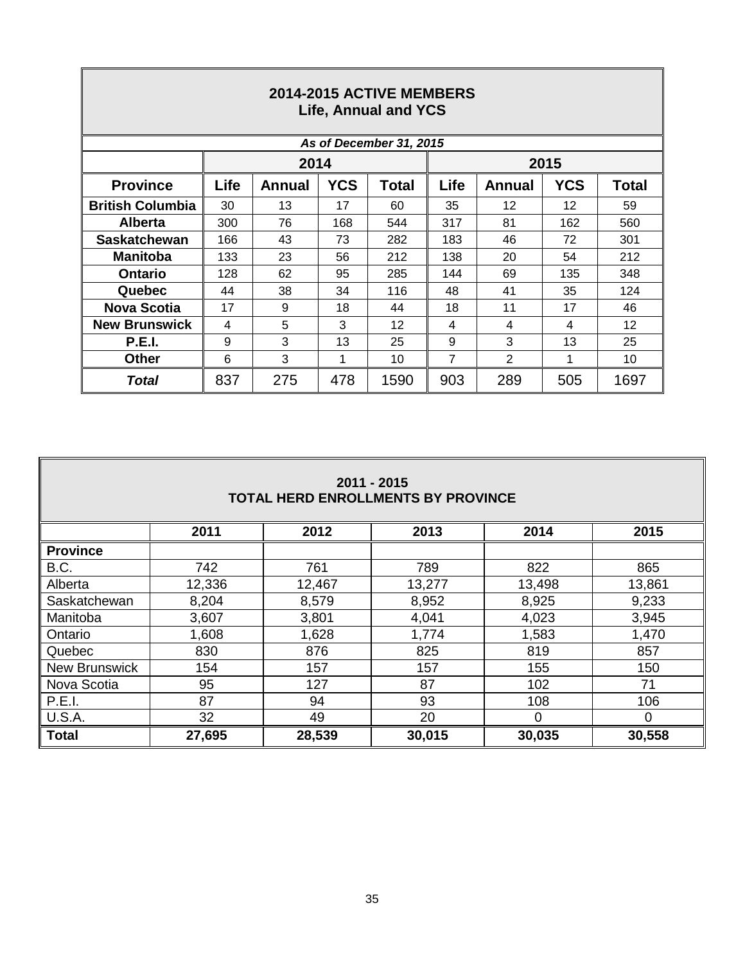| 2014-2015 ACTIVE MEMBERS<br><b>Life, Annual and YCS</b> |      |        |            |       |                                |        |            |              |  |  |  |
|---------------------------------------------------------|------|--------|------------|-------|--------------------------------|--------|------------|--------------|--|--|--|
| As of December 31, 2015                                 |      |        |            |       |                                |        |            |              |  |  |  |
|                                                         |      | 2014   |            |       | 2015                           |        |            |              |  |  |  |
| <b>Province</b>                                         | Life | Annual | <b>YCS</b> | Total | Life                           | Annual | <b>YCS</b> | <b>Total</b> |  |  |  |
| <b>British Columbia</b>                                 | 30   | 13     | 17         | 60    | 35                             | 12     | 12         | 59           |  |  |  |
| <b>Alberta</b>                                          | 300  | 76     | 168        | 544   | 317                            | 81     | 162        | 560          |  |  |  |
| <b>Saskatchewan</b>                                     | 166  | 43     | 73         | 282   | 183                            | 46     | 72         | 301          |  |  |  |
| <b>Manitoba</b>                                         | 133  | 23     | 56         | 212   | 138                            | 20     | 54         | 212          |  |  |  |
| <b>Ontario</b>                                          | 128  | 62     | 95         | 285   | 144                            | 69     | 135        | 348          |  |  |  |
| Quebec                                                  | 44   | 38     | 34         | 116   | 48                             | 41     | 35         | 124          |  |  |  |
| <b>Nova Scotia</b>                                      | 17   | 9      | 18         | 44    | 18                             | 11     | 17         | 46           |  |  |  |
| <b>New Brunswick</b>                                    | 4    | 5      | 3          | 12    | 4                              | 4      | 4          | 12           |  |  |  |
| <b>P.E.I.</b>                                           | 9    | 3      | 13         | 25    | 9                              | 3      | 13         | 25           |  |  |  |
| <b>Other</b>                                            | 6    | 3      | 1          | 10    | 2<br>$\overline{7}$<br>10<br>1 |        |            |              |  |  |  |
| Total                                                   | 837  | 275    | 478        | 1590  | 903                            | 289    | 505        | 1697         |  |  |  |

 $\mathsf I$ 

**IF** 

| $2011 - 2015$<br><b>TOTAL HERD ENROLLMENTS BY PROVINCE</b> |                                      |        |        |          |          |  |  |  |  |  |
|------------------------------------------------------------|--------------------------------------|--------|--------|----------|----------|--|--|--|--|--|
|                                                            | 2014<br>2015<br>2011<br>2012<br>2013 |        |        |          |          |  |  |  |  |  |
| <b>Province</b>                                            |                                      |        |        |          |          |  |  |  |  |  |
| B.C.                                                       | 742                                  | 761    | 789    | 822      | 865      |  |  |  |  |  |
| Alberta                                                    | 12,336                               | 12,467 | 13,277 | 13,498   | 13,861   |  |  |  |  |  |
| Saskatchewan                                               | 8,204                                | 8,579  | 8,952  | 8,925    | 9,233    |  |  |  |  |  |
| Manitoba                                                   | 3,607                                | 3,801  | 4,041  | 4,023    | 3,945    |  |  |  |  |  |
| Ontario                                                    | 1,608                                | 1,628  | 1,774  | 1,583    | 1,470    |  |  |  |  |  |
| Quebec                                                     | 830                                  | 876    | 825    | 819      | 857      |  |  |  |  |  |
| <b>New Brunswick</b>                                       | 154                                  | 157    | 157    | 155      | 150      |  |  |  |  |  |
| Nova Scotia                                                | 95                                   | 127    | 87     | 102      | 71       |  |  |  |  |  |
| P.E.I.                                                     | 87                                   | 94     | 93     | 108      | 106      |  |  |  |  |  |
| <b>U.S.A.</b>                                              | 32                                   | 49     | 20     | $\Omega$ | $\Omega$ |  |  |  |  |  |
| <b>Total</b>                                               | 27,695                               | 28,539 | 30,015 | 30,035   | 30,558   |  |  |  |  |  |